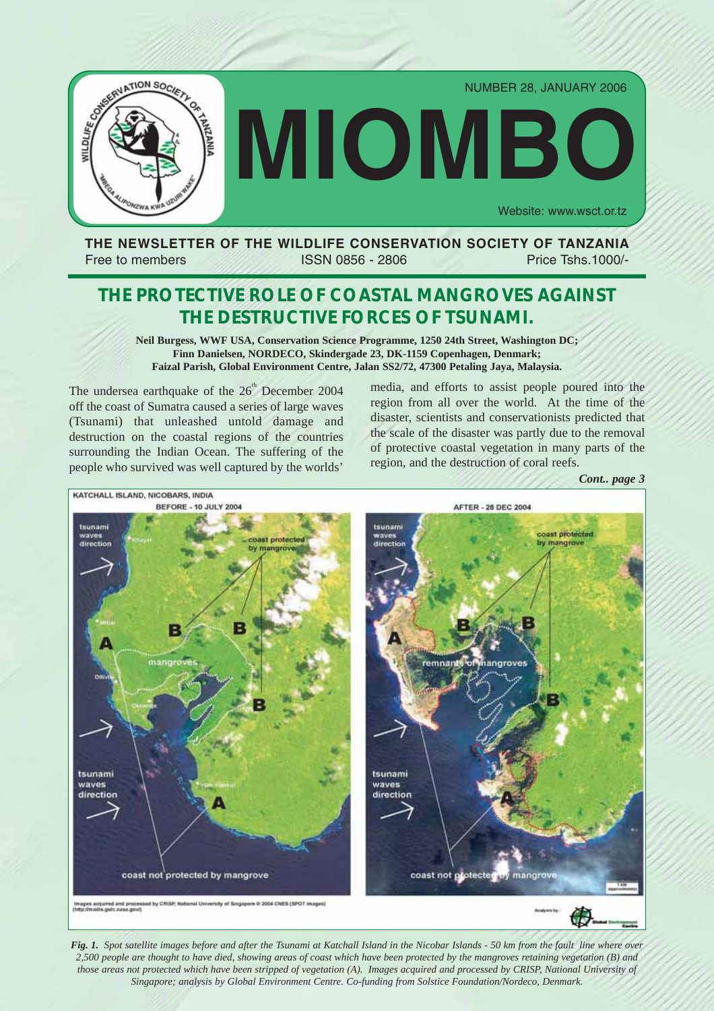

## **THE NEWSLETTER OF THE WILDLIFE CONSERVATION SOCIETY OF TANZANIA** Free to members ISSN 0856 - 2806 Price Tshs.1000/-

# **THE PROTECTIVE ROLE OF COASTAL MANGROVES AGAINST THE DESTRUCTIVE FORCES OF TSUNAMI.**

**Neil Burgess, WWF USA, Conservation Science Programme, 1250 24th Street, Washington DC; Finn Danielsen, NORDECO, Skindergade 23, DK-1159 Copenhagen, Denmark; Faizal Parish, Global Environment Centre, Jalan SS2/72, 47300 Petaling Jaya, Malaysia.**

The undersea earthquake of the  $26<sup>th</sup>$  December 2004 off the coast of Sumatra caused a series of large waves (Tsunami) that unleashed untold damage and destruction on the coastal regions of the countries surrounding the Indian Ocean. The suffering of the people who survived was well captured by the worlds'

media, and efforts to assist people poured into the region from all over the world. At the time of the disaster, scientists and conservationists predicted that the scale of the disaster was partly due to the removal of protective coastal vegetation in many parts of the region, and the destruction of coral reefs.



*Fig. 1. Spot satellite images before and after the Tsunami at Katchall Island in the Nicobar Islands - 50 km from the fault line where over 2,500 people are thought to have died, showing areas of coast which have been protected by the mangroves retaining vegetation (B) and those areas not protected which have been stripped of vegetation (A). Images acquired and processed by CRISP, National University of Singapore; analysis by Global Environment Centre. Co-funding from Solstice Foundation/Nordeco, Denmark.*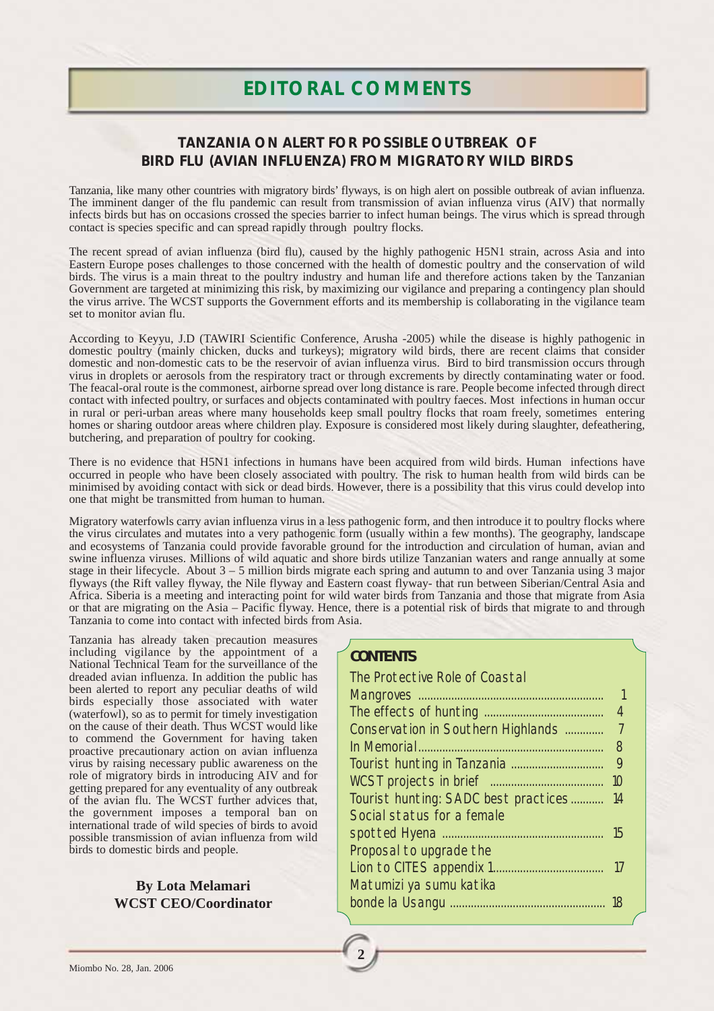## **TANZANIA ON ALERT FOR POSSIBLE OUTBREAK OF BIRD FLU (AVIAN INFLUENZA) FROM MIGRATORY WILD BIRDS**

Tanzania, like many other countries with migratory birds' flyways, is on high alert on possible outbreak of avian influenza. The imminent danger of the flu pandemic can result from transmission of avian influenza virus (AIV) that normally infects birds but has on occasions crossed the species barrier to infect human beings. The virus which is spread through contact is species specific and can spread rapidly through poultry flocks.

The recent spread of avian influenza (bird flu), caused by the highly pathogenic H5N1 strain, across Asia and into Eastern Europe poses challenges to those concerned with the health of domestic poultry and the conservation of wild birds. The virus is a main threat to the poultry industry and human life and therefore actions taken by the Tanzanian Government are targeted at minimizing this risk, by maximizing our vigilance and preparing a contingency plan should the virus arrive. The WCST supports the Government efforts and its membership is collaborating in the vigilance team set to monitor avian flu.

According to Keyyu, J.D (TAWIRI Scientific Conference, Arusha -2005) while the disease is highly pathogenic in domestic poultry (mainly chicken, ducks and turkeys); migratory wild birds, there are recent claims that consider domestic and non-domestic cats to be the reservoir of avian influenza virus. Bird to bird transmission occurs through virus in droplets or aerosols from the respiratory tract or through excrements by directly contaminating water or food. The feacal-oral route is the commonest, airborne spread over long distance is rare. People become infected through direct contact with infected poultry, or surfaces and objects contaminated with poultry faeces. Most infections in human occur in rural or peri-urban areas where many households keep small poultry flocks that roam freely, sometimes entering homes or sharing outdoor areas where children play. Exposure is considered most likely during slaughter, defeathering, butchering, and preparation of poultry for cooking.

There is no evidence that H5N1 infections in humans have been acquired from wild birds. Human infections have occurred in people who have been closely associated with poultry. The risk to human health from wild birds can be minimised by avoiding contact with sick or dead birds. However, there is a possibility that this virus could develop into one that might be transmitted from human to human.

Migratory waterfowls carry avian influenza virus in a less pathogenic form, and then introduce it to poultry flocks where the virus circulates and mutates into a very pathogenic form (usually within a few months). The geography, landscape and ecosystems of Tanzania could provide favorable ground for the introduction and circulation of human, avian and swine influenza viruses. Millions of wild aquatic and shore birds utilize Tanzanian waters and range annually at some stage in their lifecycle. About 3 – 5 million birds migrate each spring and autumn to and over Tanzania using 3 major flyways (the Rift valley flyway, the Nile flyway and Eastern coast flyway- that run between Siberian/Central Asia and Africa. Siberia is a meeting and interacting point for wild water birds from Tanzania and those that migrate from Asia or that are migrating on the Asia – Pacific flyway. Hence, there is a potential risk of birds that migrate to and through Tanzania to come into contact with infected birds from Asia.

**2**

Tanzania has already taken precaution measures including vigilance by the appointment of a National Technical Team for the surveillance of the dreaded avian influenza. In addition the public has been alerted to report any peculiar deaths of wild birds especially those associated with water (waterfowl), so as to permit for timely investigation on the cause of their death. Thus WCST would like to commend the Government for having taken proactive precautionary action on avian influenza virus by raising necessary public awareness on the role of migratory birds in introducing AIV and for getting prepared for any eventuality of any outbreak of the avian flu. The WCST further advices that, the government imposes a temporal ban on international trade of wild species of birds to avoid possible transmission of avian influenza from wild birds to domestic birds and people.

## **By Lota Melamari WCST CEO/Coordinator**

|  | CONTENTS |  |
|--|----------|--|
|--|----------|--|

| The Protective Role of Coastal       |                |
|--------------------------------------|----------------|
|                                      |                |
|                                      | 4              |
| Conservation in Southern Highlands   | 7              |
|                                      | 8              |
|                                      | 9              |
|                                      | 1 <sup>O</sup> |
| Tourist hunting: SADC best practices | 14             |
| Social status for a female           |                |
|                                      | 15             |
| Proposal to upgrade the              |                |
|                                      |                |
| Matumizi ya sumu katika              |                |
|                                      |                |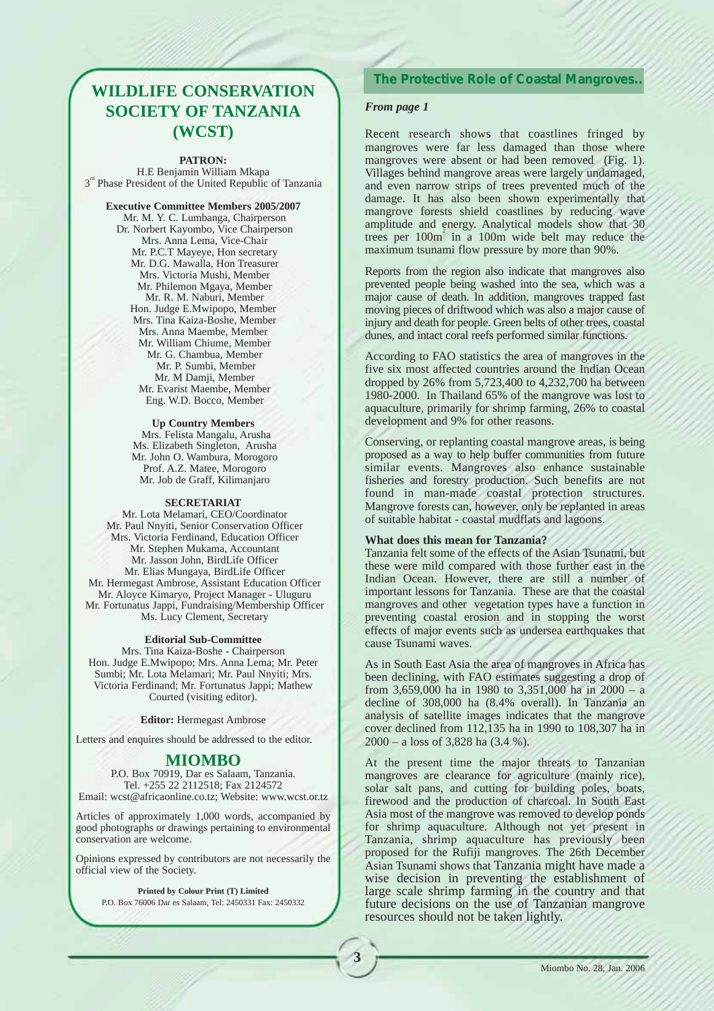## **WILDLIFE CONSERVATION SOCIETY OF TANZANIA (WCST)**

#### **PATRON:**

H.E Benjamin William Mkapa 3<sup>rd</sup> Phase President of the United Republic of Tanzania

**Executive Committee Members 2005/2007** Mr. M. Y. C. Lumbanga, Chairperson Dr. Norbert Kayombo, Vice Chairperson Mrs. Anna Lema, Vice-Chair Mr. P.C.T Mayeye, Hon secretary Mr. D.G. Mawalla, Hon Treasurer Mrs. Victoria Mushi, Member Mr. Philemon Mgaya, Member Mr. R. M. Naburi, Member Hon. Judge E.Mwipopo, Member Mrs. Tina Kaiza-Boshe, Member Mrs. Anna Maembe, Member Mr. William Chiume, Member Mr. G. Chambua, Member Mr. P. Sumbi, Member Mr. M Damji, Member Mr. Evarist Maembe, Member Eng. W.D. Bocco, Member

#### **Up Country Members**

Mrs. Felista Mangalu, Arusha Ms. Elizabeth Singleton, Arusha Mr. John O. Wambura, Morogoro Prof. A.Z. Matee, Morogoro Mr. Job de Graff, Kilimanjaro

#### **SECRETARIAT**

Mr. Lota Melamari, CEO/Coordinator Mr. Paul Nnyiti, Senior Conservation Officer Mrs. Victoria Ferdinand, Education Officer Mr. Stephen Mukama, Accountant Mr. Jasson John, BirdLife Officer Mr. Elias Mungaya, BirdLife Officer Mr. Hermegast Ambrose, Assistant Education Officer Mr. Aloyce Kimaryo, Project Manager - Uluguru Mr. Fortunatus Jappi, Fundraising/Membership Officer Ms. Lucy Clement, Secretary

#### **Editorial Sub-Committee**

Mrs. Tina Kaiza-Boshe - Chairperson Hon. Judge E.Mwipopo; Mrs. Anna Lema; Mr. Peter Sumbi; Mr. Lota Melamari; Mr. Paul Nnyiti; Mrs. Victoria Ferdinand; Mr. Fortunatus Jappi; Mathew Courted (visiting editor).

**Editor:** Hermegast Ambrose

Letters and enquires should be addressed to the editor.

#### **MIOMBO**

P.O. Box 70919, Dar es Salaam, Tanzania. Tel. +255 22 2112518; Fax 2124572 Email: wcst@africaonline.co.tz; Website: www.wcst.or.tz

Articles of approximately 1,000 words, accompanied by good photographs or drawings pertaining to environmental conservation are welcome.

Opinions expressed by contributors are not necessarily the official view of the Society.

**Printed by Colour Print (T) Limited** P.O. Box 76006 Dar es Salaam, Tel: 2450331 Fax: 2450332

**3**

#### **The Protective Role of Coastal Mangroves..**

#### *From page 1*

Recent research shows that coastlines fringed by mangroves were far less damaged than those where mangroves were absent or had been removed (Fig. 1). Villages behind mangrove areas were largely undamaged, and even narrow strips of trees prevented much of the damage. It has also been shown experimentally that mangrove forests shield coastlines by reducing wave amplitude and energy. Analytical models show that 30 trees per  $100m^2$  in a 100m wide belt may reduce the maximum tsunami flow pressure by more than 90%.

Reports from the region also indicate that mangroves also prevented people being washed into the sea, which was a major cause of death. In addition, mangroves trapped fast moving pieces of driftwood which was also a major cause of injury and death for people. Green belts of other trees, coastal dunes, and intact coral reefs performed similar functions.

According to FAO statistics the area of mangroves in the five six most affected countries around the Indian Ocean dropped by 26% from 5,723,400 to 4,232,700 ha between 1980-2000. In Thailand 65% of the mangrove was lost to aquaculture, primarily for shrimp farming, 26% to coastal development and 9% for other reasons.

Conserving, or replanting coastal mangrove areas, is being proposed as a way to help buffer communities from future similar events. Mangroves also enhance sustainable fisheries and forestry production. Such benefits are not found in man-made coastal protection structures. Mangrove forests can, however, only be replanted in areas of suitable habitat - coastal mudflats and lagoons.

#### **What does this mean for Tanzania?**

Tanzania felt some of the effects of the Asian Tsunami, but these were mild compared with those further east in the Indian Ocean. However, there are still a number of important lessons for Tanzania. These are that the coastal mangroves and other vegetation types have a function in preventing coastal erosion and in stopping the worst effects of major events such as undersea earthquakes that cause Tsunami waves.

As in South East Asia the area of mangroves in Africa has been declining, with FAO estimates suggesting a drop of from 3,659,000 ha in 1980 to 3,351,000 ha in 2000 – a decline of 308,000 ha (8.4% overall). In Tanzania an analysis of satellite images indicates that the mangrove cover declined from 112,135 ha in 1990 to 108,307 ha in 2000 – a loss of 3,828 ha (3.4 %).

At the present time the major threats to Tanzanian mangroves are clearance for agriculture (mainly rice), solar salt pans, and cutting for building poles, boats, firewood and the production of charcoal. In South East Asia most of the mangrove was removed to develop ponds for shrimp aquaculture. Although not yet present in Tanzania, shrimp aquaculture has previously been proposed for the Rufiji mangroves. The 26th December Asian Tsunami shows that Tanzania might have made a wise decision in preventing the establishment of large scale shrimp farming in the country and that future decisions on the use of Tanzanian mangrove resources should not be taken lightly.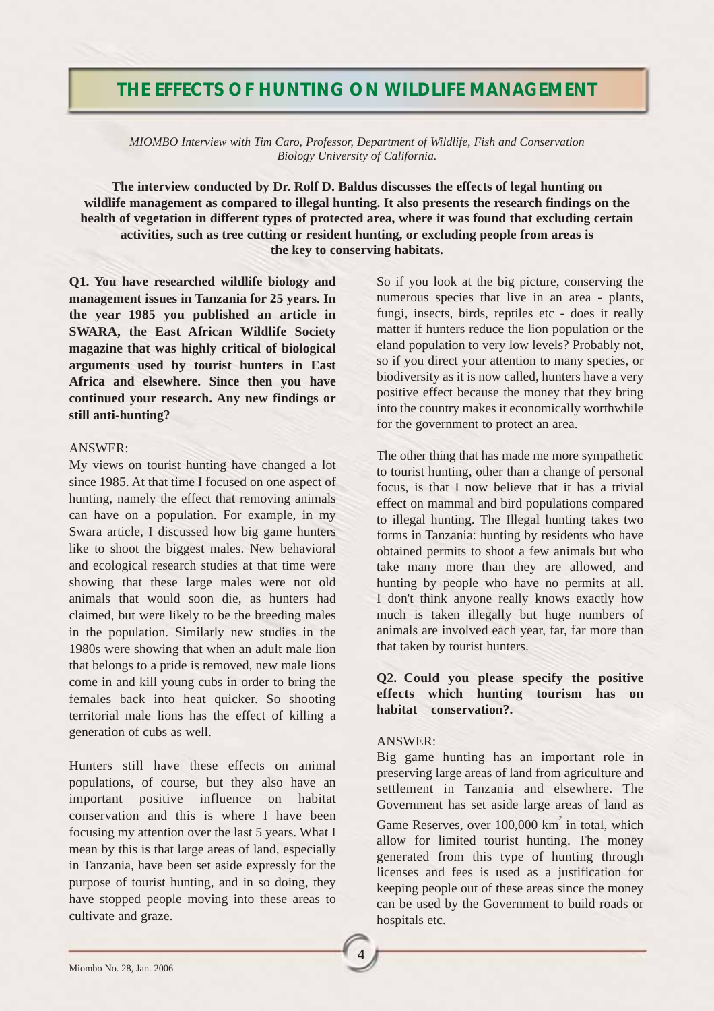## **THE EFFECTS OF HUNTING ON WILDLIFE MANAGEMENT**

*MIOMBO Interview with Tim Caro, Professor, Department of Wildlife, Fish and Conservation Biology University of California.* 

**The interview conducted by Dr. Rolf D. Baldus discusses the effects of legal hunting on wildlife management as compared to illegal hunting. It also presents the research findings on the health of vegetation in different types of protected area, where it was found that excluding certain activities, such as tree cutting or resident hunting, or excluding people from areas is the key to conserving habitats.**

**Q1. You have researched wildlife biology and management issues in Tanzania for 25 years. In the year 1985 you published an article in SWARA, the East African Wildlife Society magazine that was highly critical of biological arguments used by tourist hunters in East Africa and elsewhere. Since then you have continued your research. Any new findings or still anti-hunting?**

#### ANSWER:

My views on tourist hunting have changed a lot since 1985. At that time I focused on one aspect of hunting, namely the effect that removing animals can have on a population. For example, in my Swara article, I discussed how big game hunters like to shoot the biggest males. New behavioral and ecological research studies at that time were showing that these large males were not old animals that would soon die, as hunters had claimed, but were likely to be the breeding males in the population. Similarly new studies in the 1980s were showing that when an adult male lion that belongs to a pride is removed, new male lions come in and kill young cubs in order to bring the females back into heat quicker. So shooting territorial male lions has the effect of killing a generation of cubs as well.

Hunters still have these effects on animal populations, of course, but they also have an important positive influence on habitat conservation and this is where I have been focusing my attention over the last 5 years. What I mean by this is that large areas of land, especially in Tanzania, have been set aside expressly for the purpose of tourist hunting, and in so doing, they have stopped people moving into these areas to cultivate and graze.

So if you look at the big picture, conserving the numerous species that live in an area - plants, fungi, insects, birds, reptiles etc - does it really matter if hunters reduce the lion population or the eland population to very low levels? Probably not, so if you direct your attention to many species, or biodiversity as it is now called, hunters have a very positive effect because the money that they bring into the country makes it economically worthwhile for the government to protect an area.

The other thing that has made me more sympathetic to tourist hunting, other than a change of personal focus, is that I now believe that it has a trivial effect on mammal and bird populations compared to illegal hunting. The Illegal hunting takes two forms in Tanzania: hunting by residents who have obtained permits to shoot a few animals but who take many more than they are allowed, and hunting by people who have no permits at all. I don't think anyone really knows exactly how much is taken illegally but huge numbers of animals are involved each year, far, far more than that taken by tourist hunters.

### **Q2. Could you please specify the positive effects which hunting tourism has on habitat conservation?.**

### ANSWER:

**4**

Big game hunting has an important role in preserving large areas of land from agriculture and settlement in Tanzania and elsewhere. The Government has set aside large areas of land as Game Reserves, over  $100,000$  km<sup>2</sup> in total, which allow for limited tourist hunting. The money generated from this type of hunting through licenses and fees is used as a justification for keeping people out of these areas since the money can be used by the Government to build roads or hospitals etc.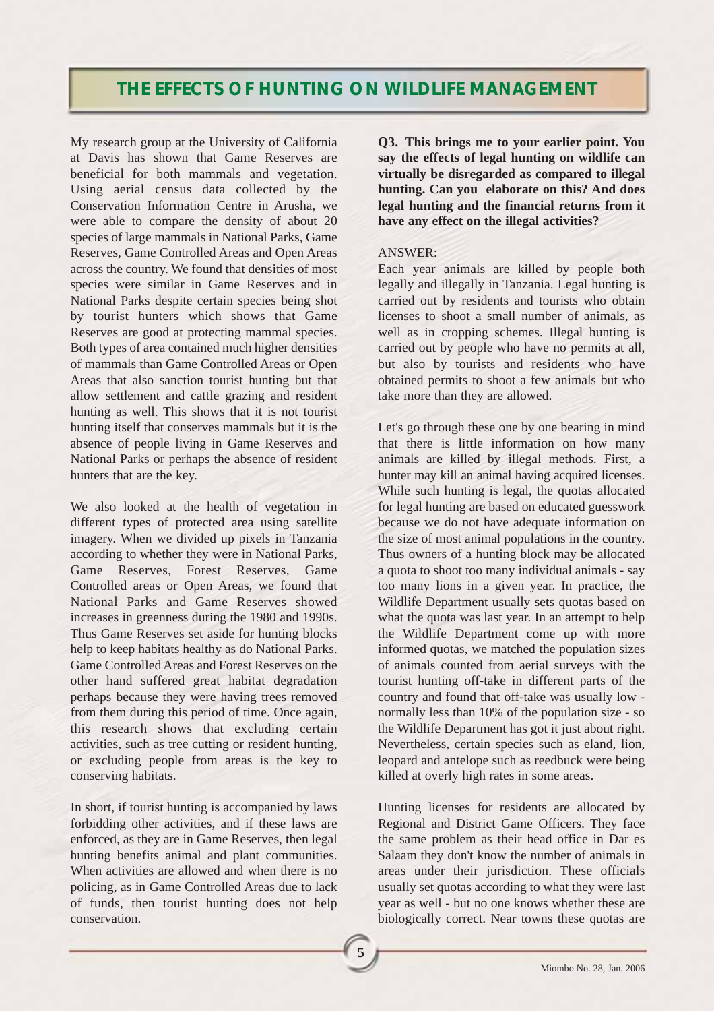## **THE EFFECTS OF HUNTING ON WILDLIFE MANAGEMENT**

My research group at the University of California at Davis has shown that Game Reserves are beneficial for both mammals and vegetation. Using aerial census data collected by the Conservation Information Centre in Arusha, we were able to compare the density of about 20 species of large mammals in National Parks, Game Reserves, Game Controlled Areas and Open Areas across the country. We found that densities of most species were similar in Game Reserves and in National Parks despite certain species being shot by tourist hunters which shows that Game Reserves are good at protecting mammal species. Both types of area contained much higher densities of mammals than Game Controlled Areas or Open Areas that also sanction tourist hunting but that allow settlement and cattle grazing and resident hunting as well. This shows that it is not tourist hunting itself that conserves mammals but it is the absence of people living in Game Reserves and National Parks or perhaps the absence of resident hunters that are the key.

We also looked at the health of vegetation in different types of protected area using satellite imagery. When we divided up pixels in Tanzania according to whether they were in National Parks, Game Reserves, Forest Reserves, Game Controlled areas or Open Areas, we found that National Parks and Game Reserves showed increases in greenness during the 1980 and 1990s. Thus Game Reserves set aside for hunting blocks help to keep habitats healthy as do National Parks. Game Controlled Areas and Forest Reserves on the other hand suffered great habitat degradation perhaps because they were having trees removed from them during this period of time. Once again, this research shows that excluding certain activities, such as tree cutting or resident hunting, or excluding people from areas is the key to conserving habitats.

In short, if tourist hunting is accompanied by laws forbidding other activities, and if these laws are enforced, as they are in Game Reserves, then legal hunting benefits animal and plant communities. When activities are allowed and when there is no policing, as in Game Controlled Areas due to lack of funds, then tourist hunting does not help conservation.

**Q3. This brings me to your earlier point. You say the effects of legal hunting on wildlife can virtually be disregarded as compared to illegal hunting. Can you elaborate on this? And does legal hunting and the financial returns from it have any effect on the illegal activities?**

### ANSWER:

Each year animals are killed by people both legally and illegally in Tanzania. Legal hunting is carried out by residents and tourists who obtain licenses to shoot a small number of animals, as well as in cropping schemes. Illegal hunting is carried out by people who have no permits at all, but also by tourists and residents who have obtained permits to shoot a few animals but who take more than they are allowed.

Let's go through these one by one bearing in mind that there is little information on how many animals are killed by illegal methods. First, a hunter may kill an animal having acquired licenses. While such hunting is legal, the quotas allocated for legal hunting are based on educated guesswork because we do not have adequate information on the size of most animal populations in the country. Thus owners of a hunting block may be allocated a quota to shoot too many individual animals - say too many lions in a given year. In practice, the Wildlife Department usually sets quotas based on what the quota was last year. In an attempt to help the Wildlife Department come up with more informed quotas, we matched the population sizes of animals counted from aerial surveys with the tourist hunting off-take in different parts of the country and found that off-take was usually low normally less than 10% of the population size - so the Wildlife Department has got it just about right. Nevertheless, certain species such as eland, lion, leopard and antelope such as reedbuck were being killed at overly high rates in some areas.

Hunting licenses for residents are allocated by Regional and District Game Officers. They face the same problem as their head office in Dar es Salaam they don't know the number of animals in areas under their jurisdiction. These officials usually set quotas according to what they were last year as well - but no one knows whether these are biologically correct. Near towns these quotas are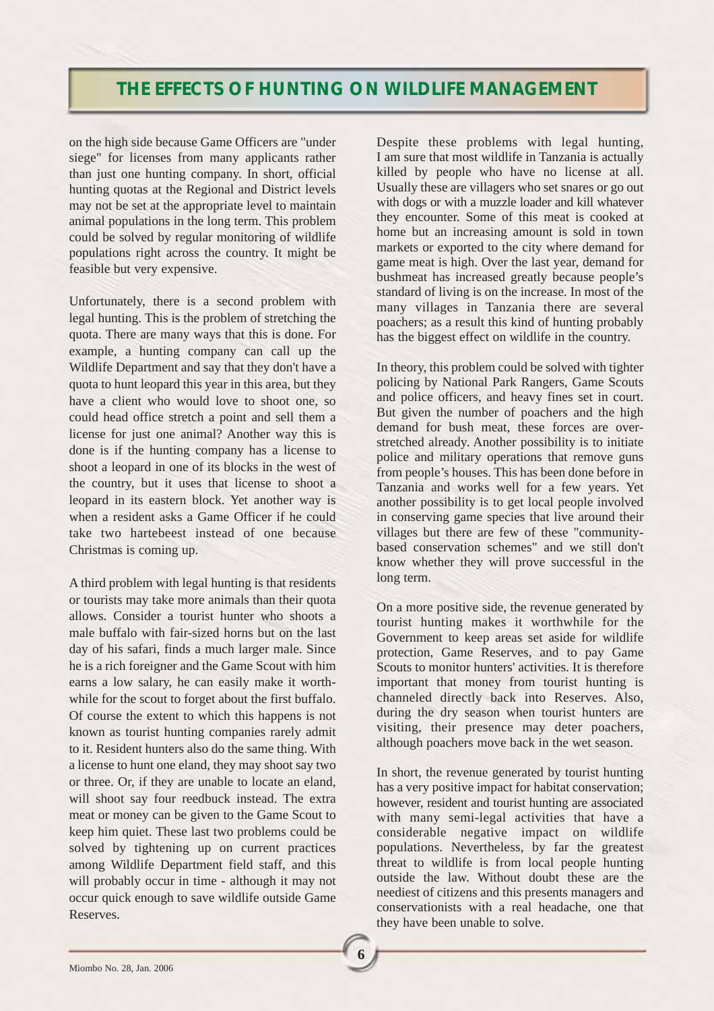## **THE EFFECTS OF HUNTING ON WILDLIFE MANAGEMENT**

on the high side because Game Officers are "under siege" for licenses from many applicants rather than just one hunting company. In short, official hunting quotas at the Regional and District levels may not be set at the appropriate level to maintain animal populations in the long term. This problem could be solved by regular monitoring of wildlife populations right across the country. It might be feasible but very expensive.

Unfortunately, there is a second problem with legal hunting. This is the problem of stretching the quota. There are many ways that this is done. For example, a hunting company can call up the Wildlife Department and say that they don't have a quota to hunt leopard this year in this area, but they have a client who would love to shoot one, so could head office stretch a point and sell them a license for just one animal? Another way this is done is if the hunting company has a license to shoot a leopard in one of its blocks in the west of the country, but it uses that license to shoot a leopard in its eastern block. Yet another way is when a resident asks a Game Officer if he could take two hartebeest instead of one because Christmas is coming up.

A third problem with legal hunting is that residents or tourists may take more animals than their quota allows. Consider a tourist hunter who shoots a male buffalo with fair-sized horns but on the last day of his safari, finds a much larger male. Since he is a rich foreigner and the Game Scout with him earns a low salary, he can easily make it worthwhile for the scout to forget about the first buffalo. Of course the extent to which this happens is not known as tourist hunting companies rarely admit to it. Resident hunters also do the same thing. With a license to hunt one eland, they may shoot say two or three. Or, if they are unable to locate an eland, will shoot say four reedbuck instead. The extra meat or money can be given to the Game Scout to keep him quiet. These last two problems could be solved by tightening up on current practices among Wildlife Department field staff, and this will probably occur in time - although it may not occur quick enough to save wildlife outside Game Reserves.

Despite these problems with legal hunting, I am sure that most wildlife in Tanzania is actually killed by people who have no license at all. Usually these are villagers who set snares or go out with dogs or with a muzzle loader and kill whatever they encounter. Some of this meat is cooked at home but an increasing amount is sold in town markets or exported to the city where demand for game meat is high. Over the last year, demand for bushmeat has increased greatly because people's standard of living is on the increase. In most of the many villages in Tanzania there are several poachers; as a result this kind of hunting probably has the biggest effect on wildlife in the country.

In theory, this problem could be solved with tighter policing by National Park Rangers, Game Scouts and police officers, and heavy fines set in court. But given the number of poachers and the high demand for bush meat, these forces are overstretched already. Another possibility is to initiate police and military operations that remove guns from people's houses. This has been done before in Tanzania and works well for a few years. Yet another possibility is to get local people involved in conserving game species that live around their villages but there are few of these "communitybased conservation schemes" and we still don't know whether they will prove successful in the long term.

On a more positive side, the revenue generated by tourist hunting makes it worthwhile for the Government to keep areas set aside for wildlife protection, Game Reserves, and to pay Game Scouts to monitor hunters' activities. It is therefore important that money from tourist hunting is channeled directly back into Reserves. Also, during the dry season when tourist hunters are visiting, their presence may deter poachers, although poachers move back in the wet season.

In short, the revenue generated by tourist hunting has a very positive impact for habitat conservation; however, resident and tourist hunting are associated with many semi-legal activities that have a considerable negative impact on wildlife populations. Nevertheless, by far the greatest threat to wildlife is from local people hunting outside the law. Without doubt these are the neediest of citizens and this presents managers and conservationists with a real headache, one that they have been unable to solve.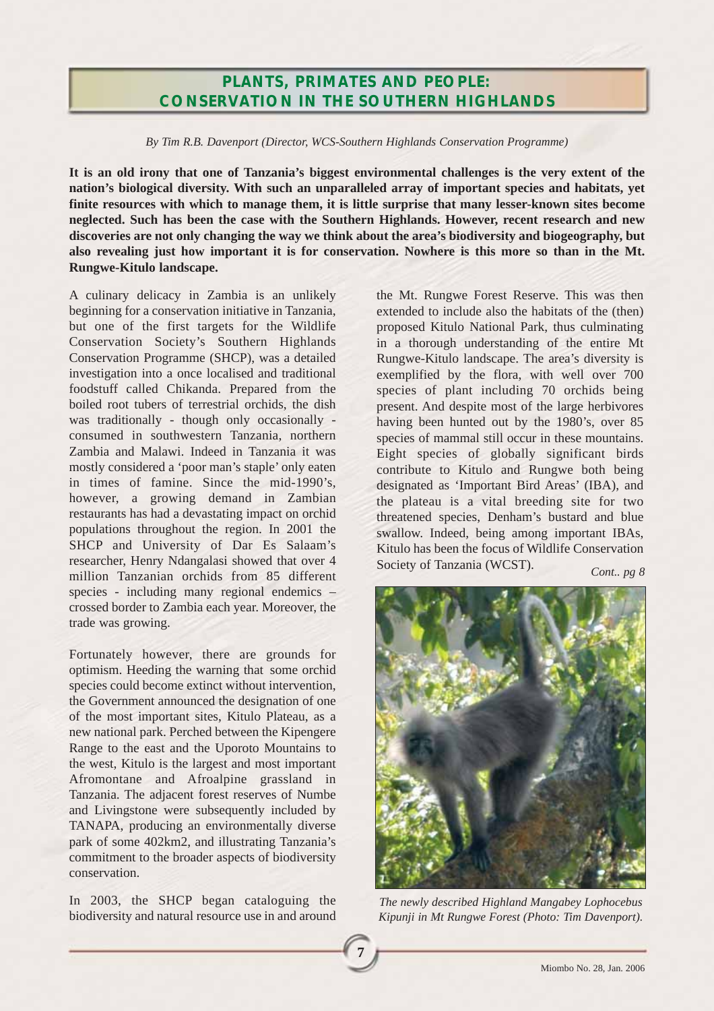## **PLANTS, PRIMATES AND PEOPLE: CONSERVATION IN THE SOUTHERN HIGHLANDS**

*By Tim R.B. Davenport (Director, WCS-Southern Highlands Conservation Programme)*

**It is an old irony that one of Tanzania's biggest environmental challenges is the very extent of the nation's biological diversity. With such an unparalleled array of important species and habitats, yet finite resources with which to manage them, it is little surprise that many lesser-known sites become neglected. Such has been the case with the Southern Highlands. However, recent research and new discoveries are not only changing the way we think about the area's biodiversity and biogeography, but also revealing just how important it is for conservation. Nowhere is this more so than in the Mt. Rungwe-Kitulo landscape.** 

**7**

A culinary delicacy in Zambia is an unlikely beginning for a conservation initiative in Tanzania, but one of the first targets for the Wildlife Conservation Society's Southern Highlands Conservation Programme (SHCP), was a detailed investigation into a once localised and traditional foodstuff called Chikanda. Prepared from the boiled root tubers of terrestrial orchids, the dish was traditionally - though only occasionally consumed in southwestern Tanzania, northern Zambia and Malawi. Indeed in Tanzania it was mostly considered a 'poor man's staple' only eaten in times of famine. Since the mid-1990's, however, a growing demand in Zambian restaurants has had a devastating impact on orchid populations throughout the region. In 2001 the SHCP and University of Dar Es Salaam's researcher, Henry Ndangalasi showed that over 4 million Tanzanian orchids from 85 different species - including many regional endemics – crossed border to Zambia each year. Moreover, the trade was growing.

Fortunately however, there are grounds for optimism. Heeding the warning that some orchid species could become extinct without intervention, the Government announced the designation of one of the most important sites, Kitulo Plateau, as a new national park. Perched between the Kipengere Range to the east and the Uporoto Mountains to the west, Kitulo is the largest and most important Afromontane and Afroalpine grassland in Tanzania. The adjacent forest reserves of Numbe and Livingstone were subsequently included by TANAPA, producing an environmentally diverse park of some 402km2, and illustrating Tanzania's commitment to the broader aspects of biodiversity conservation.

In 2003, the SHCP began cataloguing the biodiversity and natural resource use in and around the Mt. Rungwe Forest Reserve. This was then extended to include also the habitats of the (then) proposed Kitulo National Park, thus culminating in a thorough understanding of the entire Mt Rungwe-Kitulo landscape. The area's diversity is exemplified by the flora, with well over 700 species of plant including 70 orchids being present. And despite most of the large herbivores having been hunted out by the 1980's, over 85 species of mammal still occur in these mountains. Eight species of globally significant birds contribute to Kitulo and Rungwe both being designated as 'Important Bird Areas' (IBA), and the plateau is a vital breeding site for two threatened species, Denham's bustard and blue swallow. Indeed, being among important IBAs, Kitulo has been the focus of Wildlife Conservation Society of Tanzania (WCST).

*Cont.. pg 8*



*The newly described Highland Mangabey Lophocebus Kipunji in Mt Rungwe Forest (Photo: Tim Davenport).*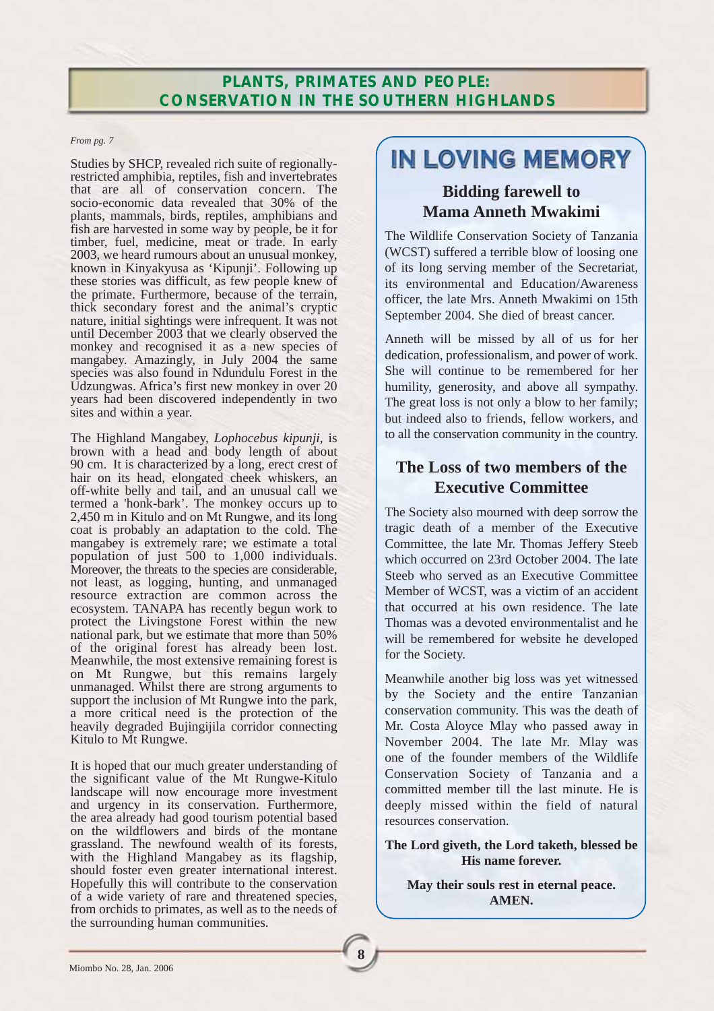## **PLANTS, PRIMATES AND PEOPLE: CONSERVATION IN THE SOUTHERN HIGHLANDS**

#### *From pg. 7*

Studies by SHCP, revealed rich suite of regionallyrestricted amphibia, reptiles, fish and invertebrates that are all of conservation concern. The socio-economic data revealed that 30% of the plants, mammals, birds, reptiles, amphibians and fish are harvested in some way by people, be it for timber, fuel, medicine, meat or trade. In early 2003, we heard rumours about an unusual monkey, known in Kinyakyusa as 'Kipunji'. Following up these stories was difficult, as few people knew of the primate. Furthermore, because of the terrain, thick secondary forest and the animal's cryptic nature, initial sightings were infrequent. It was not until December 2003 that we clearly observed the monkey and recognised it as a new species of mangabey. Amazingly, in July 2004 the same species was also found in Ndundulu Forest in the Udzungwas. Africa's first new monkey in over 20 years had been discovered independently in two sites and within a year.

The Highland Mangabey, *Lophocebus kipunji*, is brown with a head and body length of about 90 cm. It is characterized by a long, erect crest of hair on its head, elongated cheek whiskers, an off-white belly and tail, and an unusual call we termed a 'honk-bark'. The monkey occurs up to 2,450 m in Kitulo and on Mt Rungwe, and its long coat is probably an adaptation to the cold. The mangabey is extremely rare; we estimate a total population of just 500 to 1,000 individuals. Moreover, the threats to the species are considerable, not least, as logging, hunting, and unmanaged resource extraction are common across the ecosystem. TANAPA has recently begun work to protect the Livingstone Forest within the new national park, but we estimate that more than 50% of the original forest has already been lost. Meanwhile, the most extensive remaining forest is on Mt Rungwe, but this remains largely unmanaged. Whilst there are strong arguments to support the inclusion of Mt Rungwe into the park, a more critical need is the protection of the heavily degraded Bujingijila corridor connecting Kitulo to Mt Rungwe.

It is hoped that our much greater understanding of the significant value of the Mt Rungwe-Kitulo landscape will now encourage more investment and urgency in its conservation. Furthermore, the area already had good tourism potential based on the wildflowers and birds of the montane grassland. The newfound wealth of its forests, with the Highland Mangabey as its flagship, should foster even greater international interest. Hopefully this will contribute to the conservation of a wide variety of rare and threatened species, from orchids to primates, as well as to the needs of the surrounding human communities.

# IN LOVING MEMORY

## **Bidding farewell to Mama Anneth Mwakimi**

The Wildlife Conservation Society of Tanzania (WCST) suffered a terrible blow of loosing one of its long serving member of the Secretariat, its environmental and Education/Awareness officer, the late Mrs. Anneth Mwakimi on 15th September 2004. She died of breast cancer.

Anneth will be missed by all of us for her dedication, professionalism, and power of work. She will continue to be remembered for her humility, generosity, and above all sympathy. The great loss is not only a blow to her family; but indeed also to friends, fellow workers, and to all the conservation community in the country.

## **The Loss of two members of the Executive Committee**

The Society also mourned with deep sorrow the tragic death of a member of the Executive Committee, the late Mr. Thomas Jeffery Steeb which occurred on 23rd October 2004. The late Steeb who served as an Executive Committee Member of WCST, was a victim of an accident that occurred at his own residence. The late Thomas was a devoted environmentalist and he will be remembered for website he developed for the Society.

Meanwhile another big loss was yet witnessed by the Society and the entire Tanzanian conservation community. This was the death of Mr. Costa Aloyce Mlay who passed away in November 2004. The late Mr. Mlay was one of the founder members of the Wildlife Conservation Society of Tanzania and a committed member till the last minute. He is deeply missed within the field of natural resources conservation.

**The Lord giveth, the Lord taketh, blessed be His name forever.**

### **May their souls rest in eternal peace. AMEN.**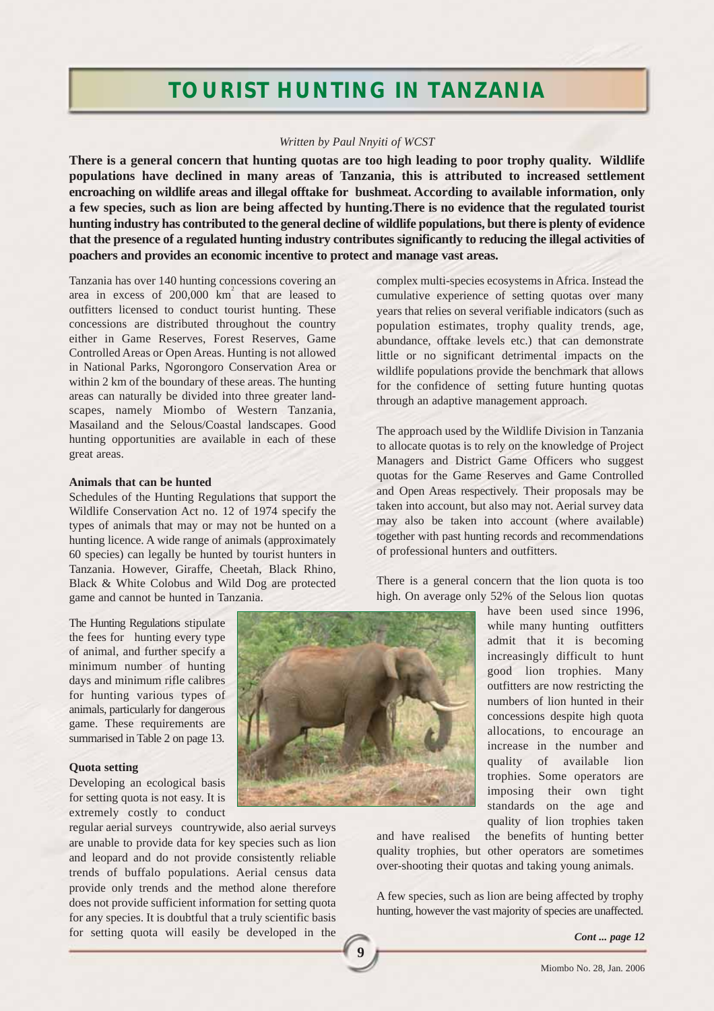# **TOURIST HUNTING IN TANZANIA**

#### *Written by Paul Nnyiti of WCST*

**There is a general concern that hunting quotas are too high leading to poor trophy quality. Wildlife populations have declined in many areas of Tanzania, this is attributed to increased settlement encroaching on wildlife areas and illegal offtake for bushmeat. According to available information, only a few species, such as lion are being affected by hunting.There is no evidence that the regulated tourist hunting industry has contributed to the general decline of wildlife populations, but there is plenty of evidence that the presence of a regulated hunting industry contributes significantly to reducing the illegal activities of poachers and provides an economic incentive to protect and manage vast areas.**

Tanzania has over 140 hunting concessions covering an area in excess of  $200,000$   $km^2$  that are leased to outfitters licensed to conduct tourist hunting. These concessions are distributed throughout the country either in Game Reserves, Forest Reserves, Game Controlled Areas or Open Areas. Hunting is not allowed in National Parks, Ngorongoro Conservation Area or within 2 km of the boundary of these areas. The hunting areas can naturally be divided into three greater landscapes, namely Miombo of Western Tanzania, Masailand and the Selous/Coastal landscapes. Good hunting opportunities are available in each of these great areas.

#### **Animals that can be hunted**

Schedules of the Hunting Regulations that support the Wildlife Conservation Act no. 12 of 1974 specify the types of animals that may or may not be hunted on a hunting licence. A wide range of animals (approximately 60 species) can legally be hunted by tourist hunters in Tanzania. However, Giraffe, Cheetah, Black Rhino, Black & White Colobus and Wild Dog are protected game and cannot be hunted in Tanzania.

The Hunting Regulations stipulate the fees for hunting every type of animal, and further specify a minimum number of hunting days and minimum rifle calibres for hunting various types of animals, particularly for dangerous game. These requirements are summarised in Table 2 on page 13.

#### **Quota setting**

Developing an ecological basis for setting quota is not easy. It is extremely costly to conduct

regular aerial surveys countrywide, also aerial surveys are unable to provide data for key species such as lion and leopard and do not provide consistently reliable trends of buffalo populations. Aerial census data provide only trends and the method alone therefore does not provide sufficient information for setting quota for any species. It is doubtful that a truly scientific basis for setting quota will easily be developed in the



complex multi-species ecosystems in Africa. Instead the cumulative experience of setting quotas over many years that relies on several verifiable indicators (such as population estimates, trophy quality trends, age, abundance, offtake levels etc.) that can demonstrate little or no significant detrimental impacts on the wildlife populations provide the benchmark that allows for the confidence of setting future hunting quotas through an adaptive management approach.

The approach used by the Wildlife Division in Tanzania to allocate quotas is to rely on the knowledge of Project Managers and District Game Officers who suggest quotas for the Game Reserves and Game Controlled and Open Areas respectively. Their proposals may be taken into account, but also may not. Aerial survey data may also be taken into account (where available) together with past hunting records and recommendations of professional hunters and outfitters.

There is a general concern that the lion quota is too high. On average only 52% of the Selous lion quotas

> have been used since 1996, while many hunting outfitters admit that it is becoming increasingly difficult to hunt good lion trophies. Many outfitters are now restricting the numbers of lion hunted in their concessions despite high quota allocations, to encourage an increase in the number and quality of available lion trophies. Some operators are imposing their own tight standards on the age and quality of lion trophies taken

and have realised the benefits of hunting better quality trophies, but other operators are sometimes over-shooting their quotas and taking young animals.

A few species, such as lion are being affected by trophy hunting, however the vast majority of species are unaffected.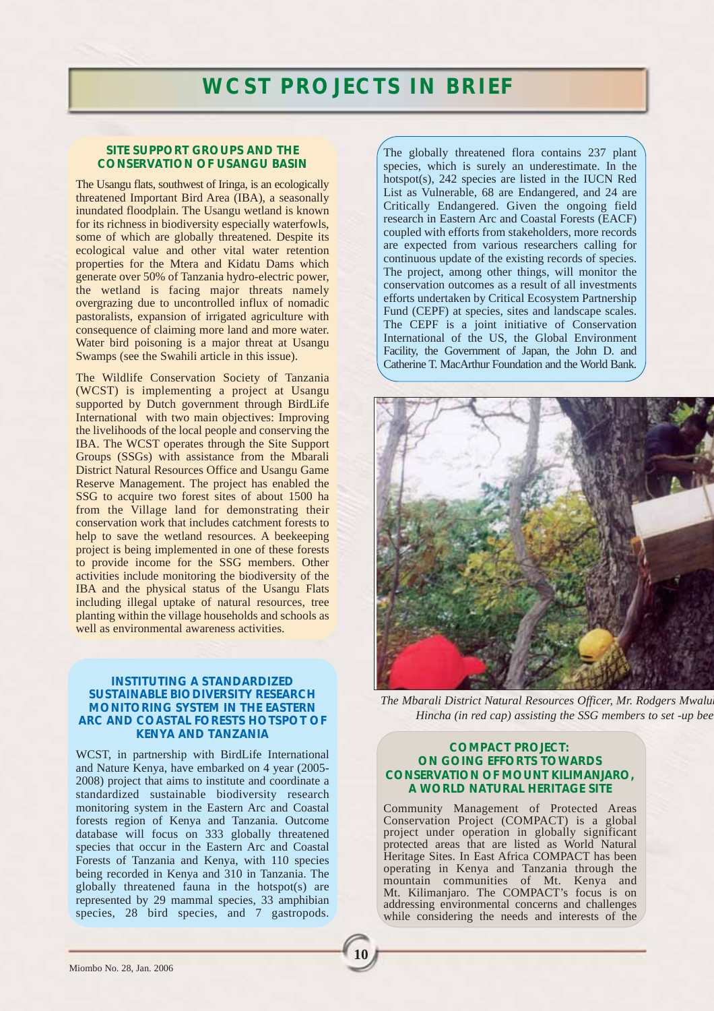#### **SITE SUPPORT GROUPS AND THE CONSERVATION OF USANGU BASIN**

The Usangu flats, southwest of Iringa, is an ecologically threatened Important Bird Area (IBA), a seasonally inundated floodplain. The Usangu wetland is known for its richness in biodiversity especially waterfowls, some of which are globally threatened. Despite its ecological value and other vital water retention properties for the Mtera and Kidatu Dams which generate over 50% of Tanzania hydro-electric power, the wetland is facing major threats namely overgrazing due to uncontrolled influx of nomadic pastoralists, expansion of irrigated agriculture with consequence of claiming more land and more water. Water bird poisoning is a major threat at Usangu Swamps (see the Swahili article in this issue).

The Wildlife Conservation Society of Tanzania (WCST) is implementing a project at Usangu supported by Dutch government through BirdLife International with two main objectives: Improving the livelihoods of the local people and conserving the IBA. The WCST operates through the Site Support Groups (SSGs) with assistance from the Mbarali District Natural Resources Office and Usangu Game Reserve Management. The project has enabled the SSG to acquire two forest sites of about 1500 ha from the Village land for demonstrating their conservation work that includes catchment forests to help to save the wetland resources. A beekeeping project is being implemented in one of these forests to provide income for the SSG members. Other activities include monitoring the biodiversity of the IBA and the physical status of the Usangu Flats including illegal uptake of natural resources, tree planting within the village households and schools as well as environmental awareness activities.

#### **INSTITUTING A STANDARDIZED SUSTAINABLE BIODIVERSITY RESEARCH MONITORING SYSTEM IN THE EASTERN ARC AND COASTAL FORESTS HOTSPOT OF KENYA AND TANZANIA**

WCST, in partnership with BirdLife International and Nature Kenya, have embarked on 4 year (2005- 2008) project that aims to institute and coordinate a standardized sustainable biodiversity research monitoring system in the Eastern Arc and Coastal forests region of Kenya and Tanzania. Outcome database will focus on 333 globally threatened species that occur in the Eastern Arc and Coastal Forests of Tanzania and Kenya, with 110 species being recorded in Kenya and 310 in Tanzania. The globally threatened fauna in the hotspot(s) are represented by 29 mammal species, 33 amphibian species, 28 bird species, and 7 gastropods.

The globally threatened flora contains 237 plant species, which is surely an underestimate. In the hotspot(s), 242 species are listed in the IUCN Red List as Vulnerable, 68 are Endangered, and 24 are Critically Endangered. Given the ongoing field research in Eastern Arc and Coastal Forests (EACF) coupled with efforts from stakeholders, more records are expected from various researchers calling for continuous update of the existing records of species. The project, among other things, will monitor the conservation outcomes as a result of all investments efforts undertaken by Critical Ecosystem Partnership Fund (CEPF) at species, sites and landscape scales. The CEPF is a joint initiative of Conservation International of the US, the Global Environment Facility, the Government of Japan, the John D. and Catherine T. MacArthur Foundation and the World Bank.



*The Mbarali District Natural Resources Officer, Mr. Rodgers Mwaluk Hincha (in red cap) assisting the SSG members to set -up bee* 

#### **COMPACT PROJECT: ON GOING EFFORTS TOWARDS CONSERVATION OF MOUNT KILIMANJARO, A WORLD NATURAL HERITAGE SITE**

Community Management of Protected Areas Conservation Project (COMPACT) is a global project under operation in globally significant protected areas that are listed as World Natural Heritage Sites. In East Africa COMPACT has been operating in Kenya and Tanzania through the mountain communities of Mt. Kenya and Mt. Kilimanjaro. The COMPACT's focus is on addressing environmental concerns and challenges while considering the needs and interests of the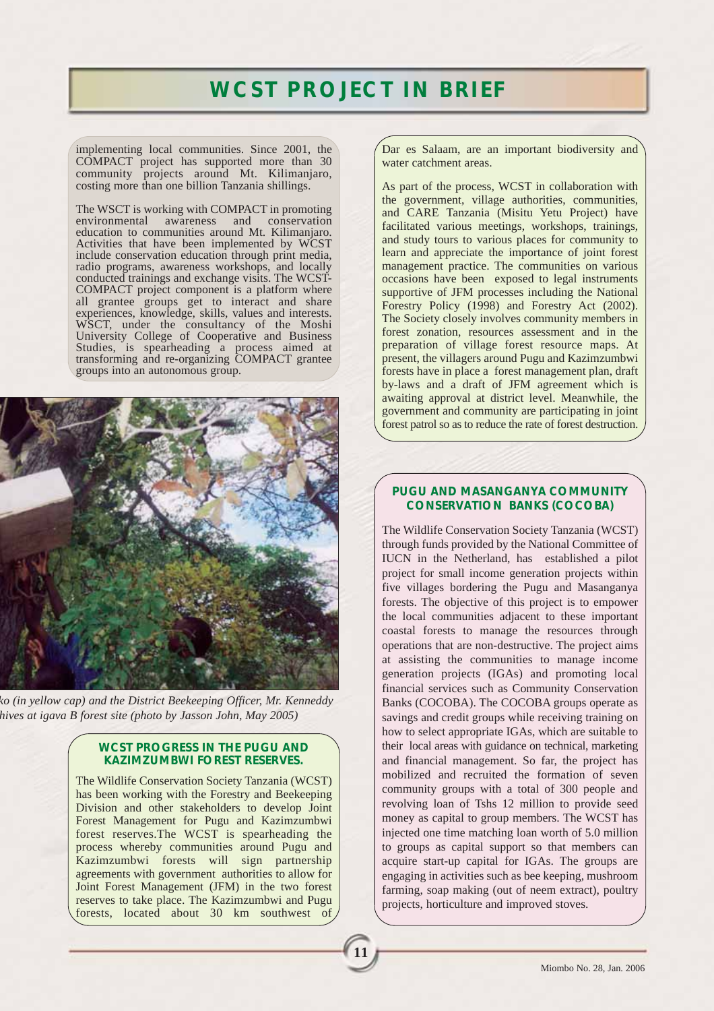# **WCST PROJECT IN BRIEF**

**11**

implementing local communities. Since 2001, the COMPACT project has supported more than 30 community projects around Mt. Kilimanjaro, costing more than one billion Tanzania shillings.

The WSCT is working with COMPACT in promoting<br>environmental awareness and conservation conservation education to communities around Mt. Kilimanjaro. Activities that have been implemented by WCST include conservation education through print media, radio programs, awareness workshops, and locally conducted trainings and exchange visits. The WCST-COMPACT project component is a platform where all grantee groups get to interact and share experiences, knowledge, skills, values and interests. WSCT, under the consultancy of the Moshi University College of Cooperative and Business Studies, is spearheading a process aimed at transforming and re-organizing COMPACT grantee groups into an autonomous group.



*ko (in yellow cap) and the District Beekeeping Officer, Mr. Kenneddy hives at igava B forest site (photo by Jasson John, May 2005)*

#### **WCST PROGRESS IN THE PUGU AND KAZIMZUMBWI FOREST RESERVES.**

The Wildlife Conservation Society Tanzania (WCST) has been working with the Forestry and Beekeeping Division and other stakeholders to develop Joint Forest Management for Pugu and Kazimzumbwi forest reserves.The WCST is spearheading the process whereby communities around Pugu and Kazimzumbwi forests will sign partnership agreements with government authorities to allow for Joint Forest Management (JFM) in the two forest reserves to take place. The Kazimzumbwi and Pugu forests, located about 30 km southwest of Dar es Salaam, are an important biodiversity and water catchment areas.

As part of the process, WCST in collaboration with the government, village authorities, communities, and CARE Tanzania (Misitu Yetu Project) have facilitated various meetings, workshops, trainings, and study tours to various places for community to learn and appreciate the importance of joint forest management practice. The communities on various occasions have been exposed to legal instruments supportive of JFM processes including the National Forestry Policy (1998) and Forestry Act (2002). The Society closely involves community members in forest zonation, resources assessment and in the preparation of village forest resource maps. At present, the villagers around Pugu and Kazimzumbwi forests have in place a forest management plan, draft by-laws and a draft of JFM agreement which is awaiting approval at district level. Meanwhile, the government and community are participating in joint forest patrol so as to reduce the rate of forest destruction.

### **PUGU AND MASANGANYA COMMUNITY CONSERVATION BANKS (COCOBA)**

The Wildlife Conservation Society Tanzania (WCST) through funds provided by the National Committee of IUCN in the Netherland, has established a pilot project for small income generation projects within five villages bordering the Pugu and Masanganya forests. The objective of this project is to empower the local communities adjacent to these important coastal forests to manage the resources through operations that are non-destructive. The project aims at assisting the communities to manage income generation projects (IGAs) and promoting local financial services such as Community Conservation Banks (COCOBA). The COCOBA groups operate as savings and credit groups while receiving training on how to select appropriate IGAs, which are suitable to their local areas with guidance on technical, marketing and financial management. So far, the project has mobilized and recruited the formation of seven community groups with a total of 300 people and revolving loan of Tshs 12 million to provide seed money as capital to group members. The WCST has injected one time matching loan worth of 5.0 million to groups as capital support so that members can acquire start-up capital for IGAs. The groups are engaging in activities such as bee keeping, mushroom farming, soap making (out of neem extract), poultry projects, horticulture and improved stoves.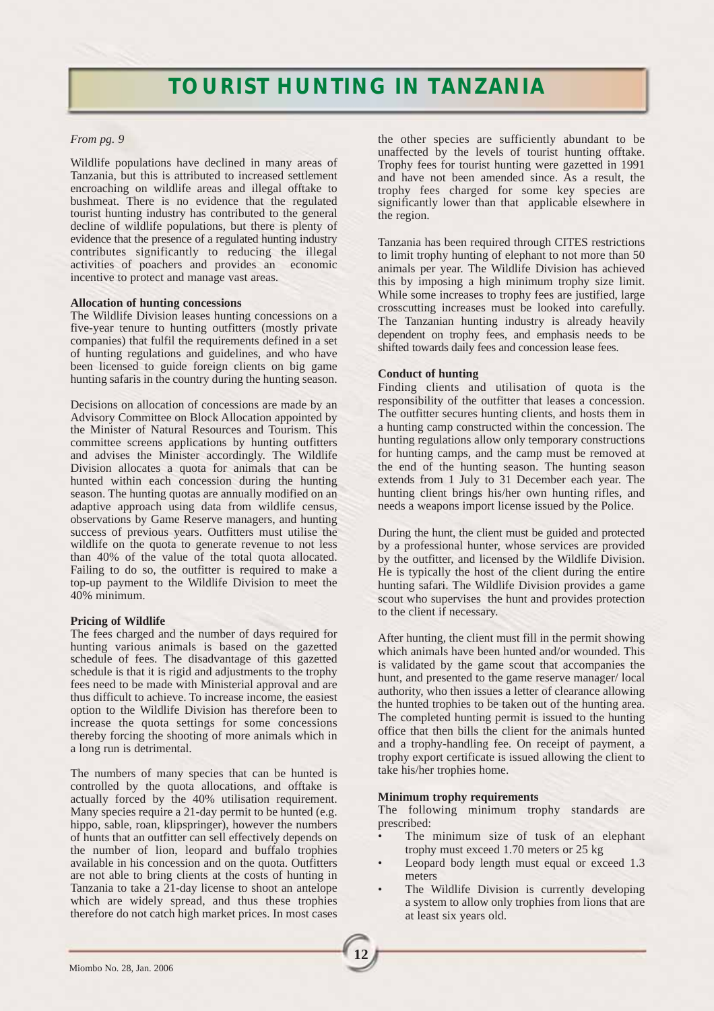# **TOURIST HUNTING IN TANZANIA**

#### *From pg. 9*

Wildlife populations have declined in many areas of Tanzania, but this is attributed to increased settlement encroaching on wildlife areas and illegal offtake to bushmeat. There is no evidence that the regulated tourist hunting industry has contributed to the general decline of wildlife populations, but there is plenty of evidence that the presence of a regulated hunting industry contributes significantly to reducing the illegal activities of poachers and provides an economic incentive to protect and manage vast areas.

#### **Allocation of hunting concessions**

The Wildlife Division leases hunting concessions on a five-year tenure to hunting outfitters (mostly private companies) that fulfil the requirements defined in a set of hunting regulations and guidelines, and who have been licensed to guide foreign clients on big game hunting safaris in the country during the hunting season.

Decisions on allocation of concessions are made by an Advisory Committee on Block Allocation appointed by the Minister of Natural Resources and Tourism. This committee screens applications by hunting outfitters and advises the Minister accordingly. The Wildlife Division allocates a quota for animals that can be hunted within each concession during the hunting season. The hunting quotas are annually modified on an adaptive approach using data from wildlife census, observations by Game Reserve managers, and hunting success of previous years. Outfitters must utilise the wildlife on the quota to generate revenue to not less than 40% of the value of the total quota allocated. Failing to do so, the outfitter is required to make a top-up payment to the Wildlife Division to meet the 40% minimum.

#### **Pricing of Wildlife**

The fees charged and the number of days required for hunting various animals is based on the gazetted schedule of fees. The disadvantage of this gazetted schedule is that it is rigid and adjustments to the trophy fees need to be made with Ministerial approval and are thus difficult to achieve. To increase income, the easiest option to the Wildlife Division has therefore been to increase the quota settings for some concessions thereby forcing the shooting of more animals which in a long run is detrimental.

The numbers of many species that can be hunted is controlled by the quota allocations, and offtake is actually forced by the 40% utilisation requirement. Many species require a 21-day permit to be hunted (e.g. hippo, sable, roan, klipspringer), however the numbers of hunts that an outfitter can sell effectively depends on the number of lion, leopard and buffalo trophies available in his concession and on the quota. Outfitters are not able to bring clients at the costs of hunting in Tanzania to take a 21-day license to shoot an antelope which are widely spread, and thus these trophies therefore do not catch high market prices. In most cases

the other species are sufficiently abundant to be unaffected by the levels of tourist hunting offtake. Trophy fees for tourist hunting were gazetted in 1991 and have not been amended since. As a result, the trophy fees charged for some key species are significantly lower than that applicable elsewhere in the region.

Tanzania has been required through CITES restrictions to limit trophy hunting of elephant to not more than 50 animals per year. The Wildlife Division has achieved this by imposing a high minimum trophy size limit. While some increases to trophy fees are justified, large crosscutting increases must be looked into carefully. The Tanzanian hunting industry is already heavily dependent on trophy fees, and emphasis needs to be shifted towards daily fees and concession lease fees.

#### **Conduct of hunting**

Finding clients and utilisation of quota is the responsibility of the outfitter that leases a concession. The outfitter secures hunting clients, and hosts them in a hunting camp constructed within the concession. The hunting regulations allow only temporary constructions for hunting camps, and the camp must be removed at the end of the hunting season. The hunting season extends from 1 July to 31 December each year. The hunting client brings his/her own hunting rifles, and needs a weapons import license issued by the Police.

During the hunt, the client must be guided and protected by a professional hunter, whose services are provided by the outfitter, and licensed by the Wildlife Division. He is typically the host of the client during the entire hunting safari. The Wildlife Division provides a game scout who supervises the hunt and provides protection to the client if necessary.

After hunting, the client must fill in the permit showing which animals have been hunted and/or wounded. This is validated by the game scout that accompanies the hunt, and presented to the game reserve manager/ local authority, who then issues a letter of clearance allowing the hunted trophies to be taken out of the hunting area. The completed hunting permit is issued to the hunting office that then bills the client for the animals hunted and a trophy-handling fee. On receipt of payment, a trophy export certificate is issued allowing the client to take his/her trophies home.

#### **Minimum trophy requirements**

**12**

The following minimum trophy standards are prescribed:

- The minimum size of tusk of an elephant trophy must exceed 1.70 meters or 25 kg
- Leopard body length must equal or exceed 1.3 meters
- The Wildlife Division is currently developing a system to allow only trophies from lions that are at least six years old.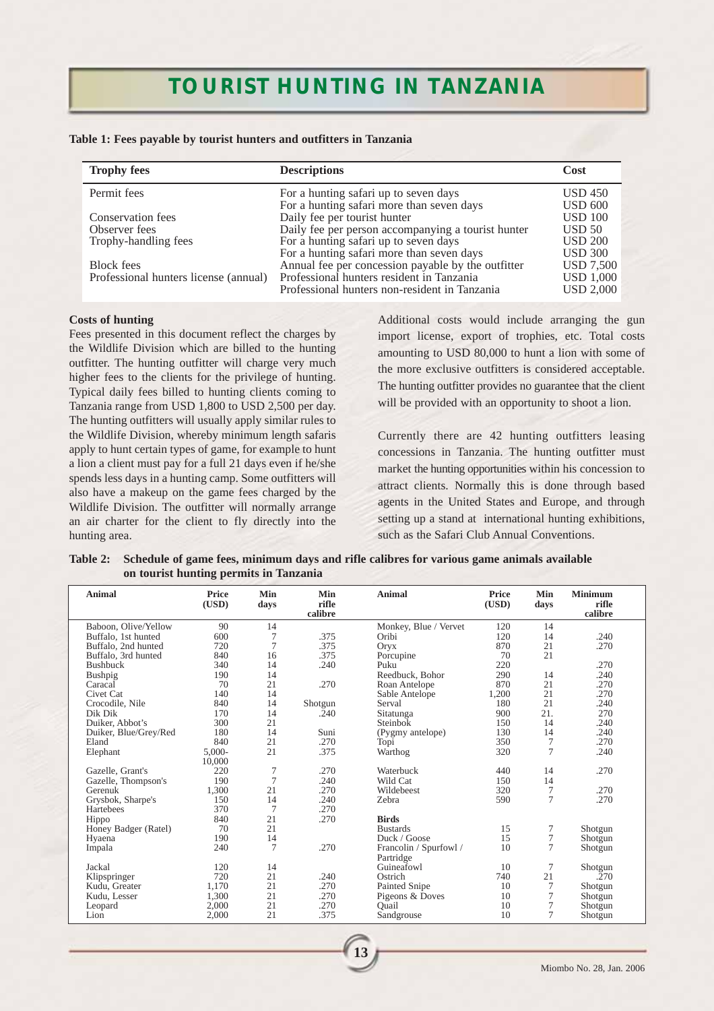# **TOURIST HUNTING IN TANZANIA**

| Table 1: Fees payable by tourist hunters and outfitters in Tanzania |  |  |
|---------------------------------------------------------------------|--|--|
|---------------------------------------------------------------------|--|--|

| <b>Trophy fees</b>                    | <b>Descriptions</b>                                | Cost             |
|---------------------------------------|----------------------------------------------------|------------------|
| Permit fees                           | For a hunting safari up to seven days              | <b>USD 450</b>   |
|                                       | For a hunting safari more than seven days          | <b>USD 600</b>   |
| Conservation fees                     | Daily fee per tourist hunter                       | <b>USD 100</b>   |
| Observer fees                         | Daily fee per person accompanying a tourist hunter | USD 50           |
| Trophy-handling fees                  | For a hunting safari up to seven days              | <b>USD 200</b>   |
|                                       | For a hunting safari more than seven days          | <b>USD 300</b>   |
| <b>Block</b> fees                     | Annual fee per concession payable by the outfitter | <b>USD 7,500</b> |
| Professional hunters license (annual) | Professional hunters resident in Tanzania          | <b>USD 1,000</b> |
|                                       | Professional hunters non-resident in Tanzania      | <b>USD 2.000</b> |

#### **Costs of hunting**

Fees presented in this document reflect the charges by the Wildlife Division which are billed to the hunting outfitter. The hunting outfitter will charge very much higher fees to the clients for the privilege of hunting. Typical daily fees billed to hunting clients coming to Tanzania range from USD 1,800 to USD 2,500 per day. The hunting outfitters will usually apply similar rules to the Wildlife Division, whereby minimum length safaris apply to hunt certain types of game, for example to hunt a lion a client must pay for a full 21 days even if he/she spends less days in a hunting camp. Some outfitters will also have a makeup on the game fees charged by the Wildlife Division. The outfitter will normally arrange an air charter for the client to fly directly into the hunting area.

Additional costs would include arranging the gun import license, export of trophies, etc. Total costs amounting to USD 80,000 to hunt a lion with some of the more exclusive outfitters is considered acceptable. The hunting outfitter provides no guarantee that the client will be provided with an opportunity to shoot a lion.

Currently there are 42 hunting outfitters leasing concessions in Tanzania. The hunting outfitter must market the hunting opportunities within his concession to attract clients. Normally this is done through based agents in the United States and Europe, and through setting up a stand at international hunting exhibitions, such as the Safari Club Annual Conventions.

| Table 2: Schedule of game fees, minimum days and rifle calibres for various game animals available |
|----------------------------------------------------------------------------------------------------|
| on tourist hunting permits in Tanzania                                                             |

| <b>Animal</b>         | <b>Price</b><br>(USD) | Min<br>days | Min<br>rifle<br>calibre | <b>Animal</b>          | Price<br>(USD) | Min<br>days     | <b>Minimum</b><br>rifle<br>calibre |
|-----------------------|-----------------------|-------------|-------------------------|------------------------|----------------|-----------------|------------------------------------|
| Baboon, Olive/Yellow  | 90                    | 14          |                         | Monkey, Blue / Vervet  | 120            | 14              |                                    |
| Buffalo, 1st hunted   | 600                   | 7           | .375                    | Oribi                  | 120            | 14              | .240                               |
| Buffalo, 2nd hunted   | 720                   | 7           | .375                    | Oryx                   | 870            | 21              | .270                               |
| Buffalo, 3rd hunted   | 840                   | 16          | .375                    | Porcupine              | 70             | 21              |                                    |
| <b>Bushbuck</b>       | 340                   | 14          | .240                    | Puku                   | 220            |                 | .270                               |
| Bushpig               | 190                   | 14          |                         | Reedbuck, Bohor        | 290            | 14              | .240                               |
| Caracal               | 70                    | 21          | .270                    | Roan Antelope          | 870            | 21              | .270                               |
| Civet Cat             | 140                   | 14          |                         | Sable Antelope         | 1,200          | 21              | .270                               |
| Crocodile, Nile       | 840                   | 14          | Shotgun                 | Serval                 | 180            | 21              | .240                               |
| Dik Dik               | 170                   | 14          | .240                    | Sitatunga              | 900            | 21.             | 270                                |
| Duiker, Abbot's       | 300                   | 21          |                         | Steinbok               | 150            | 14              | .240                               |
| Duiker, Blue/Grey/Red | 180                   | 14          | Suni                    | (Pygmy antelope)       | 130            | 14              | .240                               |
| Eland                 | 840                   | 21          | .270                    | Topi                   | 350            | 7               | .270                               |
| Elephant              | 5,000-                | 21          | .375                    | Warthog                | 320            | $\overline{7}$  | .240                               |
|                       | 10,000                |             |                         |                        |                |                 |                                    |
| Gazelle, Grant's      | 220                   | 7           | .270                    | Waterbuck              | 440            | 14              | .270                               |
| Gazelle, Thompson's   | 190                   | 7           | .240                    | Wild Cat               | 150            | 14              |                                    |
| Gerenuk               | 1,300                 | 21          | .270                    | Wildebeest             | 320            | 7               | .270                               |
| Grysbok, Sharpe's     | 150                   | 14          | .240                    | Zebra                  | 590            | $\overline{7}$  | .270                               |
| Hartebees             | 370                   | 7           | .270                    |                        |                |                 |                                    |
| Hippo                 | 840                   | 21          | .270                    | <b>Birds</b>           |                |                 |                                    |
| Honey Badger (Ratel)  | 70                    | 21          |                         | <b>Bustards</b>        | 15             | 7               | Shotgun                            |
| Hyaena                | 190                   | 14          |                         | Duck / Goose           | 15             | 7               | Shotgun                            |
| Impala                | 240                   | 7           | .270                    | Francolin / Spurfowl / | 10             | $7\phantom{.0}$ | Shotgun                            |
|                       |                       |             |                         | Partridge              |                |                 |                                    |
| Jackal                | 120                   | 14          |                         | Guineafowl             | 10             | 7               | Shotgun                            |
| Klipspringer          | 720                   | 21          | .240                    | Ostrich                | 740            | 21              | .270                               |
| Kudu, Greater         | 1.170                 | 21          | .270                    | Painted Snipe          | 10             | 7               | Shotgun                            |
| Kudu, Lesser          | 1,300                 | 21          | .270                    | Pigeons & Doves        | 10             | 7               | Shotgun                            |
| Leopard               | 2,000                 | 21          | .270                    | Ouail                  | 10             | $\tau$          | Shotgun                            |
| Lion                  | 2,000                 | 21          | .375                    | Sandgrouse             | 10             | 7               | Shotgun                            |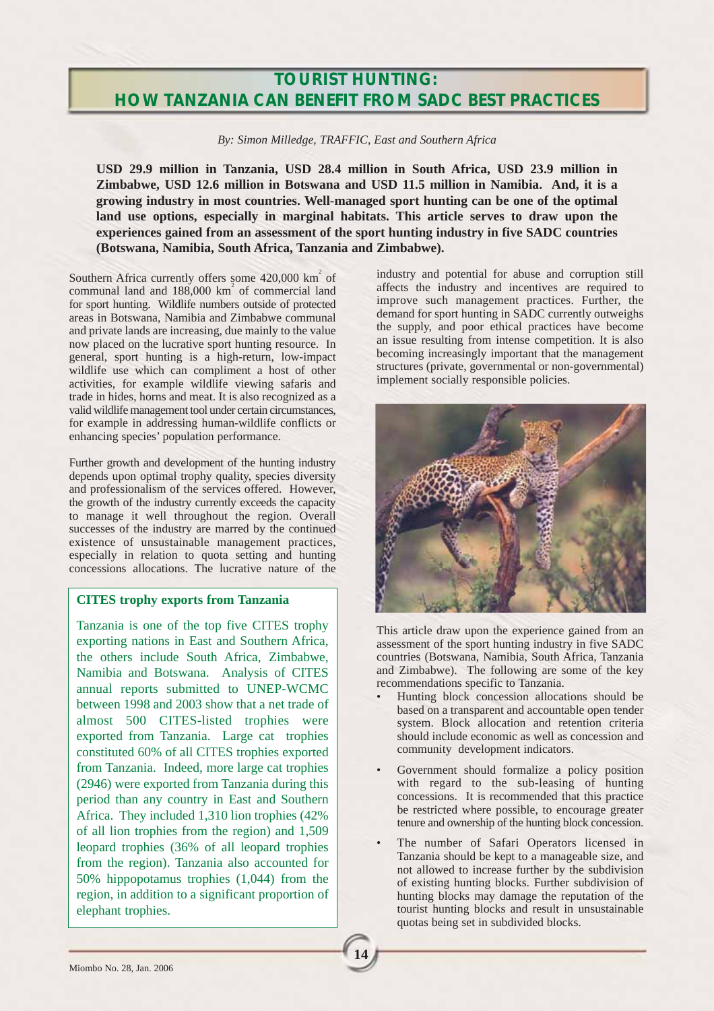## **TOURIST HUNTING: HOW TANZANIA CAN BENEFIT FROM SADC BEST PRACTICES**

*By: Simon Milledge, TRAFFIC, East and Southern Africa*

**USD 29.9 million in Tanzania, USD 28.4 million in South Africa, USD 23.9 million in Zimbabwe, USD 12.6 million in Botswana and USD 11.5 million in Namibia. And, it is a growing industry in most countries. Well-managed sport hunting can be one of the optimal land use options, especially in marginal habitats. This article serves to draw upon the experiences gained from an assessment of the sport hunting industry in five SADC countries (Botswana, Namibia, South Africa, Tanzania and Zimbabwe).**

**14**

Southern Africa currently offers some  $420,000$  km<sup>2</sup> of communal land and  $188,000 \text{ km}^2$  of commercial land for sport hunting. Wildlife numbers outside of protected areas in Botswana, Namibia and Zimbabwe communal and private lands are increasing, due mainly to the value now placed on the lucrative sport hunting resource. In general, sport hunting is a high-return, low-impact wildlife use which can compliment a host of other activities, for example wildlife viewing safaris and trade in hides, horns and meat. It is also recognized as a valid wildlife management tool under certain circumstances, for example in addressing human-wildlife conflicts or enhancing species' population performance.

Further growth and development of the hunting industry depends upon optimal trophy quality, species diversity and professionalism of the services offered. However, the growth of the industry currently exceeds the capacity to manage it well throughout the region. Overall successes of the industry are marred by the continued existence of unsustainable management practices, especially in relation to quota setting and hunting concessions allocations. The lucrative nature of the

### **CITES trophy exports from Tanzania**

Tanzania is one of the top five CITES trophy exporting nations in East and Southern Africa, the others include South Africa, Zimbabwe, Namibia and Botswana. Analysis of CITES annual reports submitted to UNEP-WCMC between 1998 and 2003 show that a net trade of almost 500 CITES-listed trophies were exported from Tanzania. Large cat trophies constituted 60% of all CITES trophies exported from Tanzania. Indeed, more large cat trophies (2946) were exported from Tanzania during this period than any country in East and Southern Africa. They included 1,310 lion trophies (42% of all lion trophies from the region) and 1,509 leopard trophies (36% of all leopard trophies from the region). Tanzania also accounted for 50% hippopotamus trophies (1,044) from the region, in addition to a significant proportion of elephant trophies.

industry and potential for abuse and corruption still affects the industry and incentives are required to improve such management practices. Further, the demand for sport hunting in SADC currently outweighs the supply, and poor ethical practices have become an issue resulting from intense competition. It is also becoming increasingly important that the management structures (private, governmental or non-governmental) implement socially responsible policies.



This article draw upon the experience gained from an assessment of the sport hunting industry in five SADC countries (Botswana, Namibia, South Africa, Tanzania and Zimbabwe). The following are some of the key recommendations specific to Tanzania.

- Hunting block concession allocations should be based on a transparent and accountable open tender system. Block allocation and retention criteria should include economic as well as concession and community development indicators.
- Government should formalize a policy position with regard to the sub-leasing of hunting concessions. It is recommended that this practice be restricted where possible, to encourage greater tenure and ownership of the hunting block concession.
- The number of Safari Operators licensed in Tanzania should be kept to a manageable size, and not allowed to increase further by the subdivision of existing hunting blocks. Further subdivision of hunting blocks may damage the reputation of the tourist hunting blocks and result in unsustainable quotas being set in subdivided blocks.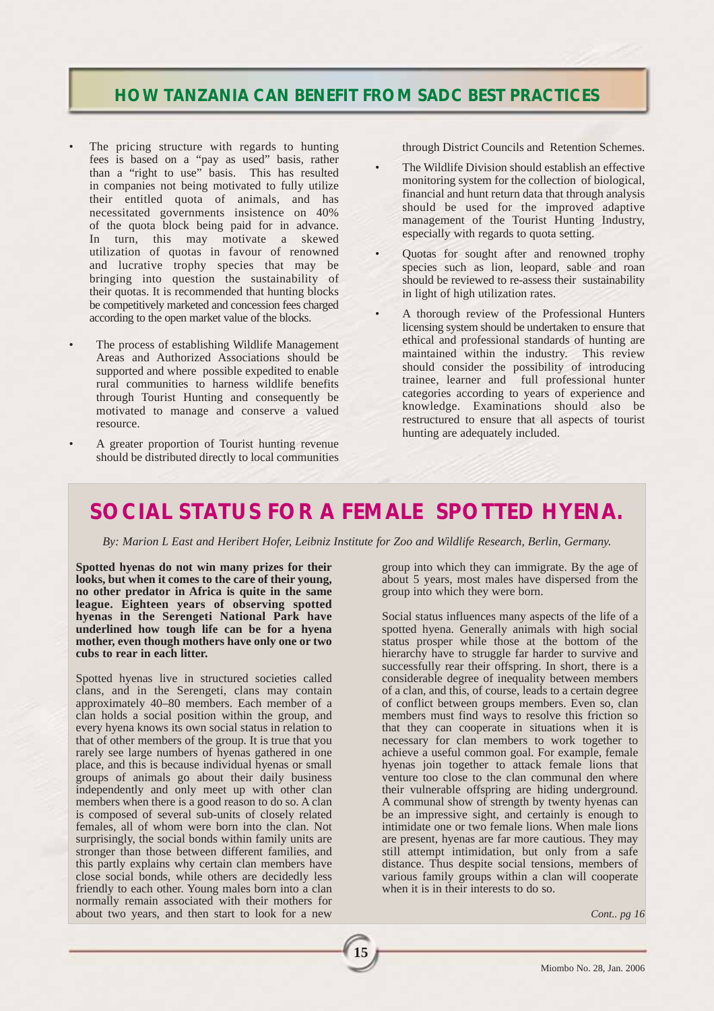## **HOW TANZANIA CAN BENEFIT FROM SADC BEST PRACTICES**

- The pricing structure with regards to hunting fees is based on a "pay as used" basis, rather than a "right to use" basis. This has resulted in companies not being motivated to fully utilize their entitled quota of animals, and has necessitated governments insistence on 40% of the quota block being paid for in advance. In turn, this may motivate a skewed utilization of quotas in favour of renowned and lucrative trophy species that may be bringing into question the sustainability of their quotas. It is recommended that hunting blocks be competitively marketed and concession fees charged according to the open market value of the blocks.
- The process of establishing Wildlife Management Areas and Authorized Associations should be supported and where possible expedited to enable rural communities to harness wildlife benefits through Tourist Hunting and consequently be motivated to manage and conserve a valued resource.
- A greater proportion of Tourist hunting revenue should be distributed directly to local communities

through District Councils and Retention Schemes.

- The Wildlife Division should establish an effective monitoring system for the collection of biological, financial and hunt return data that through analysis should be used for the improved adaptive management of the Tourist Hunting Industry, especially with regards to quota setting.
- Quotas for sought after and renowned trophy species such as lion, leopard, sable and roan should be reviewed to re-assess their sustainability in light of high utilization rates.
- A thorough review of the Professional Hunters licensing system should be undertaken to ensure that ethical and professional standards of hunting are maintained within the industry. This review should consider the possibility of introducing trainee, learner and full professional hunter categories according to years of experience and knowledge. Examinations should also be restructured to ensure that all aspects of tourist hunting are adequately included.

# **SOCIAL STATUS FOR A FEMALE SPOTTED HYENA.**

*By: Marion L East and Heribert Hofer, Leibniz Institute for Zoo and Wildlife Research, Berlin, Germany.*

**15**

**Spotted hyenas do not win many prizes for their looks, but when it comes to the care of their young, no other predator in Africa is quite in the same league. Eighteen years of observing spotted hyenas in the Serengeti National Park have underlined how tough life can be for a hyena mother, even though mothers have only one or two cubs to rear in each litter.**

Spotted hyenas live in structured societies called clans, and in the Serengeti, clans may contain approximately 40–80 members. Each member of a clan holds a social position within the group, and every hyena knows its own social status in relation to that of other members of the group. It is true that you rarely see large numbers of hyenas gathered in one place, and this is because individual hyenas or small groups of animals go about their daily business independently and only meet up with other clan members when there is a good reason to do so. A clan is composed of several sub-units of closely related females, all of whom were born into the clan. Not surprisingly, the social bonds within family units are stronger than those between different families, and this partly explains why certain clan members have close social bonds, while others are decidedly less friendly to each other. Young males born into a clan normally remain associated with their mothers for about two years, and then start to look for a new

group into which they can immigrate. By the age of about 5 years, most males have dispersed from the group into which they were born.

Social status influences many aspects of the life of a spotted hyena. Generally animals with high social status prosper while those at the bottom of the hierarchy have to struggle far harder to survive and successfully rear their offspring. In short, there is a considerable degree of inequality between members of a clan, and this, of course, leads to a certain degree of conflict between groups members. Even so, clan members must find ways to resolve this friction so that they can cooperate in situations when it is necessary for clan members to work together to achieve a useful common goal. For example, female hyenas join together to attack female lions that venture too close to the clan communal den where their vulnerable offspring are hiding underground. A communal show of strength by twenty hyenas can be an impressive sight, and certainly is enough to intimidate one or two female lions. When male lions are present, hyenas are far more cautious. They may still attempt intimidation, but only from a safe distance. Thus despite social tensions, members of various family groups within a clan will cooperate when it is in their interests to do so.

*Cont.. pg 16*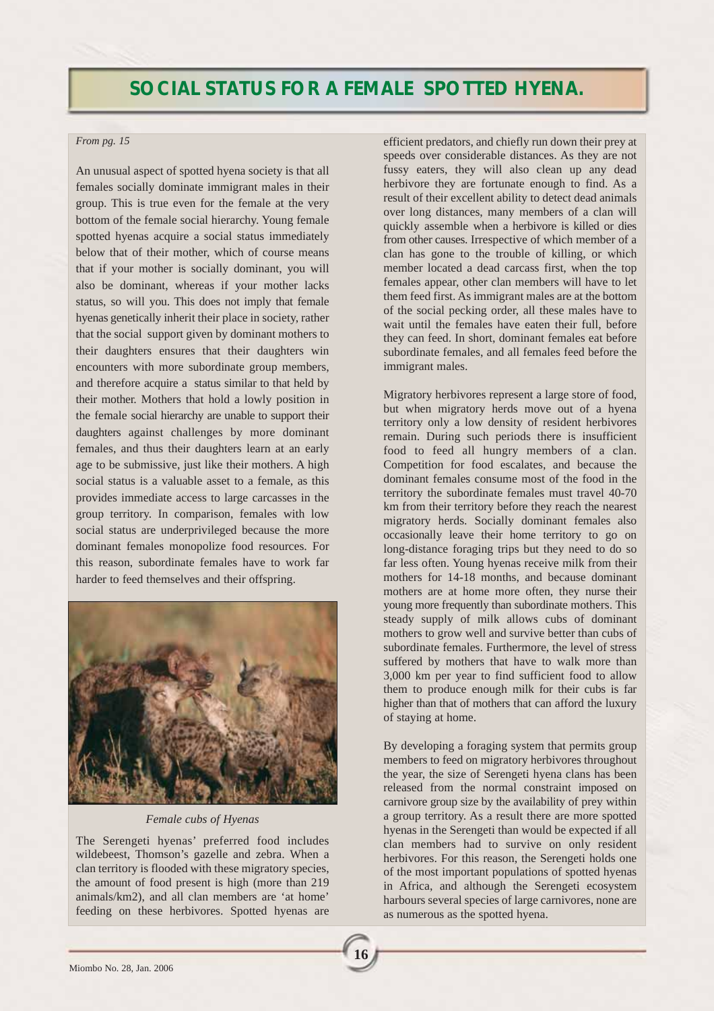# **SOCIAL STATUS FOR A FEMALE SPOTTED HYENA.**

#### *From pg. 15*

An unusual aspect of spotted hyena society is that all females socially dominate immigrant males in their group. This is true even for the female at the very bottom of the female social hierarchy. Young female spotted hyenas acquire a social status immediately below that of their mother, which of course means that if your mother is socially dominant, you will also be dominant, whereas if your mother lacks status, so will you. This does not imply that female hyenas genetically inherit their place in society, rather that the social support given by dominant mothers to their daughters ensures that their daughters win encounters with more subordinate group members, and therefore acquire a status similar to that held by their mother. Mothers that hold a lowly position in the female social hierarchy are unable to support their daughters against challenges by more dominant females, and thus their daughters learn at an early age to be submissive, just like their mothers. A high social status is a valuable asset to a female, as this provides immediate access to large carcasses in the group territory. In comparison, females with low social status are underprivileged because the more dominant females monopolize food resources. For this reason, subordinate females have to work far harder to feed themselves and their offspring.



#### *Female cubs of Hyenas*

The Serengeti hyenas' preferred food includes wildebeest, Thomson's gazelle and zebra. When a clan territory is flooded with these migratory species, the amount of food present is high (more than 219 animals/km2), and all clan members are 'at home' feeding on these herbivores. Spotted hyenas are

**16**

efficient predators, and chiefly run down their prey at speeds over considerable distances. As they are not fussy eaters, they will also clean up any dead herbivore they are fortunate enough to find. As a result of their excellent ability to detect dead animals over long distances, many members of a clan will quickly assemble when a herbivore is killed or dies from other causes. Irrespective of which member of a clan has gone to the trouble of killing, or which member located a dead carcass first, when the top females appear, other clan members will have to let them feed first. As immigrant males are at the bottom of the social pecking order, all these males have to wait until the females have eaten their full, before they can feed. In short, dominant females eat before subordinate females, and all females feed before the immigrant males.

Migratory herbivores represent a large store of food, but when migratory herds move out of a hyena territory only a low density of resident herbivores remain. During such periods there is insufficient food to feed all hungry members of a clan. Competition for food escalates, and because the dominant females consume most of the food in the territory the subordinate females must travel 40-70 km from their territory before they reach the nearest migratory herds. Socially dominant females also occasionally leave their home territory to go on long-distance foraging trips but they need to do so far less often. Young hyenas receive milk from their mothers for 14-18 months, and because dominant mothers are at home more often, they nurse their young more frequently than subordinate mothers. This steady supply of milk allows cubs of dominant mothers to grow well and survive better than cubs of subordinate females. Furthermore, the level of stress suffered by mothers that have to walk more than 3,000 km per year to find sufficient food to allow them to produce enough milk for their cubs is far higher than that of mothers that can afford the luxury of staying at home.

By developing a foraging system that permits group members to feed on migratory herbivores throughout the year, the size of Serengeti hyena clans has been released from the normal constraint imposed on carnivore group size by the availability of prey within a group territory. As a result there are more spotted hyenas in the Serengeti than would be expected if all clan members had to survive on only resident herbivores. For this reason, the Serengeti holds one of the most important populations of spotted hyenas in Africa, and although the Serengeti ecosystem harbours several species of large carnivores, none are as numerous as the spotted hyena.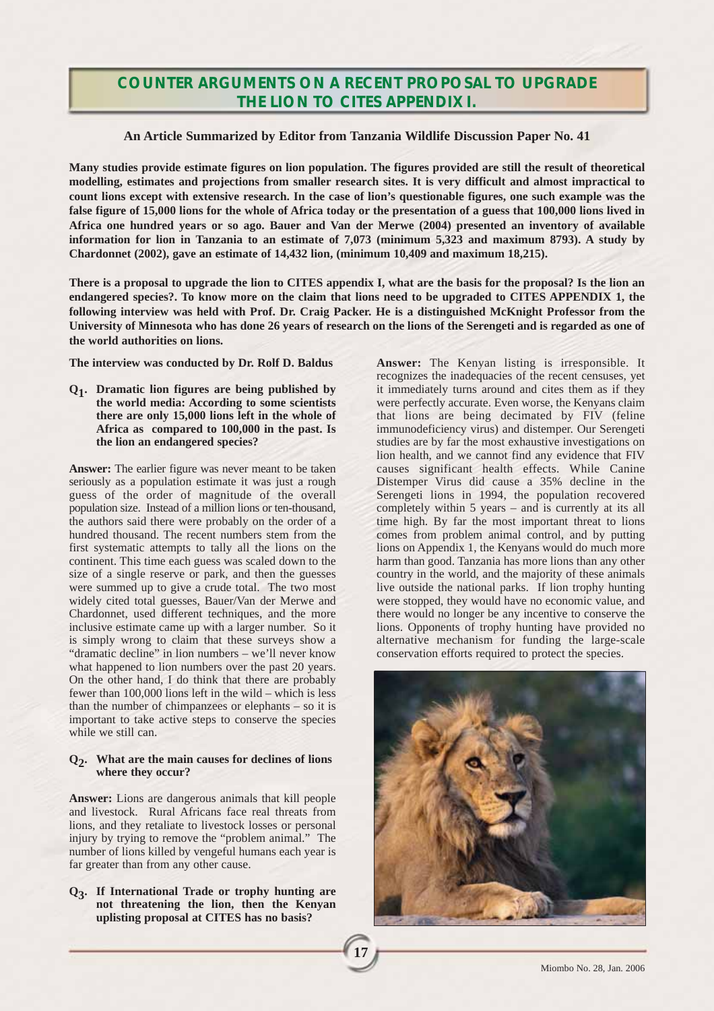## **COUNTER ARGUMENTS ON A RECENT PROPOSAL TO UPGRADE THE LION TO CITES APPENDIX I.**

### **An Article Summarized by Editor from Tanzania Wildlife Discussion Paper No. 41**

**Many studies provide estimate figures on lion population. The figures provided are still the result of theoretical modelling, estimates and projections from smaller research sites. It is very difficult and almost impractical to count lions except with extensive research. In the case of lion's questionable figures, one such example was the false figure of 15,000 lions for the whole of Africa today or the presentation of a guess that 100,000 lions lived in Africa one hundred years or so ago. Bauer and Van der Merwe (2004) presented an inventory of available information for lion in Tanzania to an estimate of 7,073 (minimum 5,323 and maximum 8793). A study by Chardonnet (2002), gave an estimate of 14,432 lion, (minimum 10,409 and maximum 18,215).** 

**There is a proposal to upgrade the lion to CITES appendix I, what are the basis for the proposal? Is the lion an endangered species?. To know more on the claim that lions need to be upgraded to CITES APPENDIX 1, the following interview was held with Prof. Dr. Craig Packer. He is a distinguished McKnight Professor from the University of Minnesota who has done 26 years of research on the lions of the Serengeti and is regarded as one of the world authorities on lions.**

**17**

**The interview was conducted by Dr. Rolf D. Baldus**

**Q1. Dramatic lion figures are being published by the world media: According to some scientists there are only 15,000 lions left in the whole of Africa as compared to 100,000 in the past. Is the lion an endangered species?**

**Answer:** The earlier figure was never meant to be taken seriously as a population estimate it was just a rough guess of the order of magnitude of the overall population size. Instead of a million lions or ten-thousand, the authors said there were probably on the order of a hundred thousand. The recent numbers stem from the first systematic attempts to tally all the lions on the continent. This time each guess was scaled down to the size of a single reserve or park, and then the guesses were summed up to give a crude total. The two most widely cited total guesses, Bauer/Van der Merwe and Chardonnet, used different techniques, and the more inclusive estimate came up with a larger number. So it is simply wrong to claim that these surveys show a "dramatic decline" in lion numbers – we'll never know what happened to lion numbers over the past 20 years. On the other hand, I do think that there are probably fewer than 100,000 lions left in the wild – which is less than the number of chimpanzees or elephants – so it is important to take active steps to conserve the species while we still can.

#### **Q2. What are the main causes for declines of lions where they occur?**

**Answer:** Lions are dangerous animals that kill people and livestock. Rural Africans face real threats from lions, and they retaliate to livestock losses or personal injury by trying to remove the "problem animal." The number of lions killed by vengeful humans each year is far greater than from any other cause.

**Q3. If International Trade or trophy hunting are not threatening the lion, then the Kenyan uplisting proposal at CITES has no basis?**

**Answer:** The Kenyan listing is irresponsible. It recognizes the inadequacies of the recent censuses, yet it immediately turns around and cites them as if they were perfectly accurate. Even worse, the Kenyans claim that lions are being decimated by FIV (feline immunodeficiency virus) and distemper. Our Serengeti studies are by far the most exhaustive investigations on lion health, and we cannot find any evidence that FIV causes significant health effects. While Canine Distemper Virus did cause a 35% decline in the Serengeti lions in 1994, the population recovered completely within 5 years – and is currently at its all time high. By far the most important threat to lions comes from problem animal control, and by putting lions on Appendix 1, the Kenyans would do much more harm than good. Tanzania has more lions than any other country in the world, and the majority of these animals live outside the national parks. If lion trophy hunting were stopped, they would have no economic value, and there would no longer be any incentive to conserve the lions. Opponents of trophy hunting have provided no alternative mechanism for funding the large-scale conservation efforts required to protect the species.

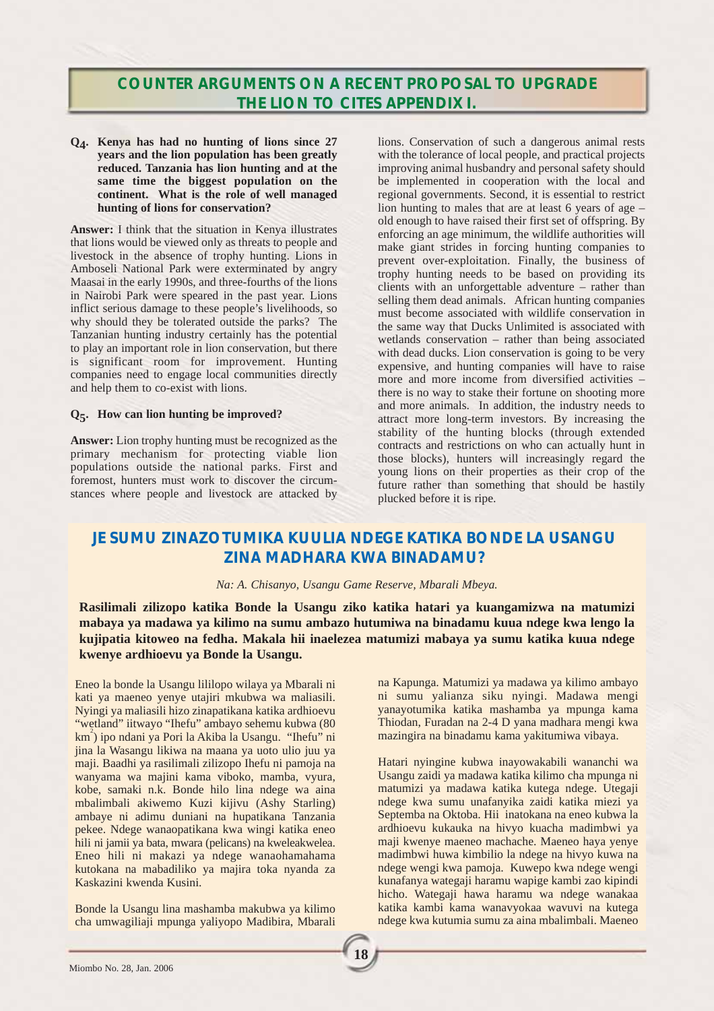## **COUNTER ARGUMENTS ON A RECENT PROPOSAL TO UPGRADE THE LION TO CITES APPENDIX I.**

**Q4. Kenya has had no hunting of lions since 27 years and the lion population has been greatly reduced. Tanzania has lion hunting and at the same time the biggest population on the continent. What is the role of well managed hunting of lions for conservation?**

**Answer:** I think that the situation in Kenya illustrates that lions would be viewed only as threats to people and livestock in the absence of trophy hunting. Lions in Amboseli National Park were exterminated by angry Maasai in the early 1990s, and three-fourths of the lions in Nairobi Park were speared in the past year. Lions inflict serious damage to these people's livelihoods, so why should they be tolerated outside the parks? The Tanzanian hunting industry certainly has the potential to play an important role in lion conservation, but there is significant room for improvement. Hunting companies need to engage local communities directly and help them to co-exist with lions.

#### **Q5. How can lion hunting be improved?**

**Answer:** Lion trophy hunting must be recognized as the primary mechanism for protecting viable lion populations outside the national parks. First and foremost, hunters must work to discover the circumstances where people and livestock are attacked by

lions. Conservation of such a dangerous animal rests with the tolerance of local people, and practical projects improving animal husbandry and personal safety should be implemented in cooperation with the local and regional governments. Second, it is essential to restrict lion hunting to males that are at least 6 years of age – old enough to have raised their first set of offspring. By enforcing an age minimum, the wildlife authorities will make giant strides in forcing hunting companies to prevent over-exploitation. Finally, the business of trophy hunting needs to be based on providing its clients with an unforgettable adventure – rather than selling them dead animals. African hunting companies must become associated with wildlife conservation in the same way that Ducks Unlimited is associated with wetlands conservation – rather than being associated with dead ducks. Lion conservation is going to be very expensive, and hunting companies will have to raise more and more income from diversified activities – there is no way to stake their fortune on shooting more and more animals. In addition, the industry needs to attract more long-term investors. By increasing the stability of the hunting blocks (through extended contracts and restrictions on who can actually hunt in those blocks), hunters will increasingly regard the young lions on their properties as their crop of the future rather than something that should be hastily plucked before it is ripe.

## **JE SUMU ZINAZOTUMIKA KUULIA NDEGE KATIKA BONDE LA USANGU ZINA MADHARA KWA BINADAMU?**

#### *Na: A. Chisanyo, Usangu Game Reserve, Mbarali Mbeya.*

**Rasilimali zilizopo katika Bonde la Usangu ziko katika hatari ya kuangamizwa na matumizi mabaya ya madawa ya kilimo na sumu ambazo hutumiwa na binadamu kuua ndege kwa lengo la kujipatia kitoweo na fedha. Makala hii inaelezea matumizi mabaya ya sumu katika kuua ndege kwenye ardhioevu ya Bonde la Usangu.** 

**18**

Eneo la bonde la Usangu lililopo wilaya ya Mbarali ni kati ya maeneo yenye utajiri mkubwa wa maliasili. Nyingi ya maliasili hizo zinapatikana katika ardhioevu "wetland" iitwayo "Ihefu" ambayo sehemu kubwa (80 km<sup>2</sup>) ipo ndani ya Pori la Akiba la Usangu. "Ihefu" ni jina la Wasangu likiwa na maana ya uoto ulio juu ya maji. Baadhi ya rasilimali zilizopo Ihefu ni pamoja na wanyama wa majini kama viboko, mamba, vyura, kobe, samaki n.k. Bonde hilo lina ndege wa aina mbalimbali akiwemo Kuzi kijivu (Ashy Starling) ambaye ni adimu duniani na hupatikana Tanzania pekee. Ndege wanaopatikana kwa wingi katika eneo hili ni jamii ya bata, mwara (pelicans) na kweleakwelea. Eneo hili ni makazi ya ndege wanaohamahama kutokana na mabadiliko ya majira toka nyanda za Kaskazini kwenda Kusini.

Bonde la Usangu lina mashamba makubwa ya kilimo cha umwagiliaji mpunga yaliyopo Madibira, Mbarali na Kapunga. Matumizi ya madawa ya kilimo ambayo ni sumu yalianza siku nyingi. Madawa mengi yanayotumika katika mashamba ya mpunga kama Thiodan, Furadan na 2-4 D yana madhara mengi kwa mazingira na binadamu kama yakitumiwa vibaya.

Hatari nyingine kubwa inayowakabili wananchi wa Usangu zaidi ya madawa katika kilimo cha mpunga ni matumizi ya madawa katika kutega ndege. Utegaji ndege kwa sumu unafanyika zaidi katika miezi ya Septemba na Oktoba. Hii inatokana na eneo kubwa la ardhioevu kukauka na hivyo kuacha madimbwi ya maji kwenye maeneo machache. Maeneo haya yenye madimbwi huwa kimbilio la ndege na hivyo kuwa na ndege wengi kwa pamoja. Kuwepo kwa ndege wengi kunafanya wategaji haramu wapige kambi zao kipindi hicho. Wategaji hawa haramu wa ndege wanakaa katika kambi kama wanavyokaa wavuvi na kutega ndege kwa kutumia sumu za aina mbalimbali. Maeneo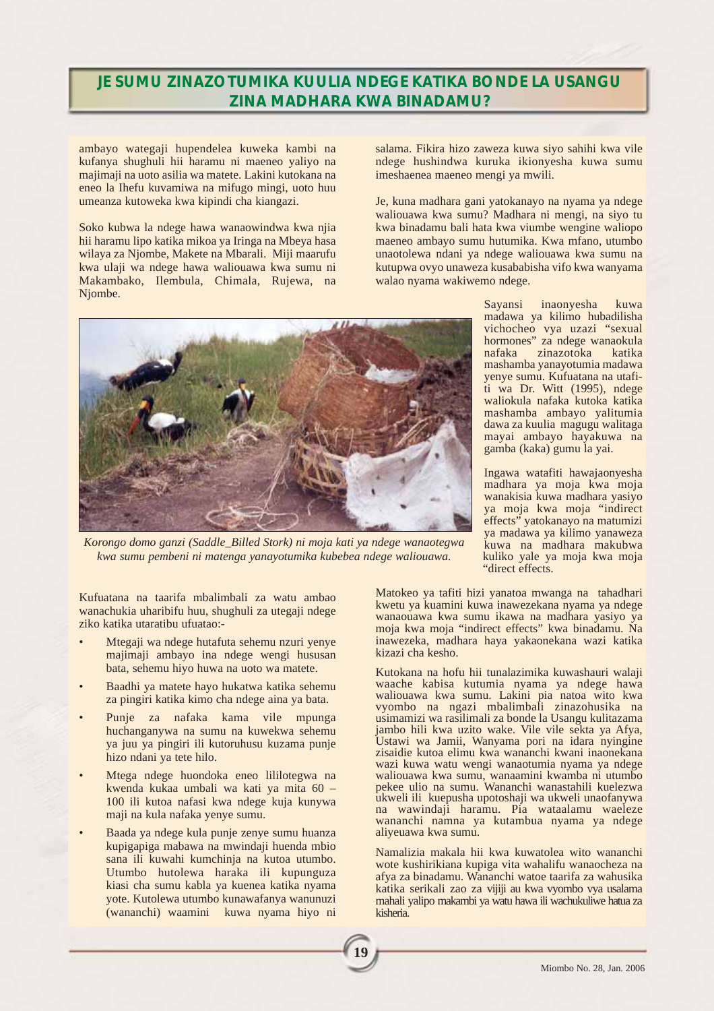## **JE SUMU ZINAZOTUMIKA KUULIA NDEGE KATIKA BONDE LA USANGU ZINA MADHARA KWA BINADAMU?**

ambayo wategaji hupendelea kuweka kambi na kufanya shughuli hii haramu ni maeneo yaliyo na majimaji na uoto asilia wa matete. Lakini kutokana na eneo la Ihefu kuvamiwa na mifugo mingi, uoto huu umeanza kutoweka kwa kipindi cha kiangazi.

Soko kubwa la ndege hawa wanaowindwa kwa njia hii haramu lipo katika mikoa ya Iringa na Mbeya hasa wilaya za Njombe, Makete na Mbarali. Miji maarufu kwa ulaji wa ndege hawa waliouawa kwa sumu ni Makambako, Ilembula, Chimala, Rujewa, na Njombe.

salama. Fikira hizo zaweza kuwa siyo sahihi kwa vile ndege hushindwa kuruka ikionyesha kuwa sumu imeshaenea maeneo mengi ya mwili.

Je, kuna madhara gani yatokanayo na nyama ya ndege waliouawa kwa sumu? Madhara ni mengi, na siyo tu kwa binadamu bali hata kwa viumbe wengine waliopo maeneo ambayo sumu hutumika. Kwa mfano, utumbo unaotolewa ndani ya ndege waliouawa kwa sumu na kutupwa ovyo unaweza kusababisha vifo kwa wanyama walao nyama wakiwemo ndege.



*Korongo domo ganzi (Saddle\_Billed Stork) ni moja kati ya ndege wanaotegwa kwa sumu pembeni ni matenga yanayotumika kubebea ndege waliouawa.*

Kufuatana na taarifa mbalimbali za watu ambao wanachukia uharibifu huu, shughuli za utegaji ndege ziko katika utaratibu ufuatao:-

- Mtegaji wa ndege hutafuta sehemu nzuri yenye majimaji ambayo ina ndege wengi hususan bata, sehemu hiyo huwa na uoto wa matete.
- Baadhi ya matete hayo hukatwa katika sehemu za pingiri katika kimo cha ndege aina ya bata.
- Punje za nafaka kama vile mpunga huchanganywa na sumu na kuwekwa sehemu ya juu ya pingiri ili kutoruhusu kuzama punje hizo ndani ya tete hilo.
- Mtega ndege huondoka eneo lililotegwa na kwenda kukaa umbali wa kati ya mita 60 – 100 ili kutoa nafasi kwa ndege kuja kunywa maji na kula nafaka yenye sumu.
- Baada ya ndege kula punje zenye sumu huanza kupigapiga mabawa na mwindaji huenda mbio sana ili kuwahi kumchinja na kutoa utumbo. Utumbo hutolewa haraka ili kupunguza kiasi cha sumu kabla ya kuenea katika nyama yote. Kutolewa utumbo kunawafanya wanunuzi (wananchi) waamini kuwa nyama hiyo ni

Sayansi inaonyesha kuwa madawa ya kilimo hubadilisha vichocheo vya uzazi "sexual hormones" za ndege wanaokula<br>nafaka zinazotoka katika zinazotoka mashamba yanayotumia madawa yenye sumu. Kufuatana na utafiti wa Dr. Witt (1995), ndege waliokula nafaka kutoka katika mashamba ambayo yalitumia dawa za kuulia magugu walitaga mayai ambayo hayakuwa na gamba (kaka) gumu la yai.

Ingawa watafiti hawajaonyesha madhara ya moja kwa moja wanakisia kuwa madhara yasiyo ya moja kwa moja "indirect effects" yatokanayo na matumizi ya madawa ya kilimo yanaweza kuwa na madhara makubwa kuliko yale ya moja kwa moja "direct effects.

Matokeo ya tafiti hizi yanatoa mwanga na tahadhari kwetu ya kuamini kuwa inawezekana nyama ya ndege wanaouawa kwa sumu ikawa na madhara yasiyo ya moja kwa moja "indirect effects" kwa binadamu. Na inawezeka, madhara haya yakaonekana wazi katika kizazi cha kesho.

Kutokana na hofu hii tunalazimika kuwashauri walaji waache kabisa kutumia nyama ya ndege hawa waliouawa kwa sumu. Lakini pia natoa wito kwa vyombo na ngazi mbalimbali zinazohusika na usimamizi wa rasilimali za bonde la Usangu kulitazama jambo hili kwa uzito wake. Vile vile sekta ya Afya, Ustawi wa Jamii, Wanyama pori na idara nyingine zisaidie kutoa elimu kwa wananchi kwani inaonekana wazi kuwa watu wengi wanaotumia nyama ya ndege waliouawa kwa sumu, wanaamini kwamba ni utumbo pekee ulio na sumu. Wananchi wanastahili kuelezwa ukweli ili kuepusha upotoshaji wa ukweli unaofanywa na wawindaji haramu. Pia wataalamu waeleze wananchi namna ya kutambua nyama ya ndege aliyeuawa kwa sumu.

Namalizia makala hii kwa kuwatolea wito wananchi wote kushirikiana kupiga vita wahalifu wanaocheza na afya za binadamu. Wananchi watoe taarifa za wahusika katika serikali zao za vijiji au kwa vyombo vya usalama mahali yalipo makambi ya watu hawa ili wachukuliwe hatua za kisheria.